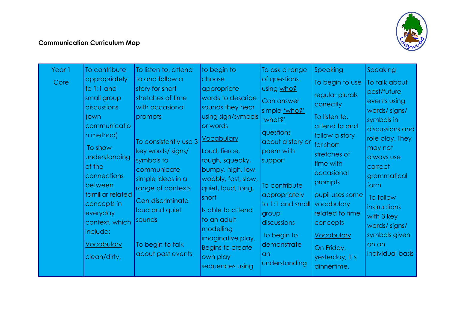

## **Communication Curriculum Map**

| Year 1<br>Core | To contribute<br>appropriately<br>to 1:1 and<br>small group<br>discussions<br>(own<br>communicatio<br>n method)<br>To show<br>understanding<br>of the<br>connections<br>between<br>familiar related<br>concepts in<br>everyday<br>context, which<br>include:<br><u>Vocabulary</u><br>clean/dirty, | To listen to, attend<br>to and follow a<br>story for short<br>stretches of time<br>with occasional<br>prompts<br>To consistently use 3<br>key words/ signs/<br>symbols to<br>communicate<br>simple ideas in a<br>range of contexts<br>Can discriminate<br>loud and quiet<br>sounds<br>To begin to talk<br>about past events | to begin to<br>choose<br>appropriate<br>words to describe<br>sounds they hear<br>using sign/symbols<br>or words<br><u>Vocabulary</u><br>Loud, fierce,<br>rough, squeaky,<br>bumpy, high, low,<br>wobbly, fast, slow,<br>quiet, loud, long,<br>short<br>Is able to attend<br>to an adult<br>modelling<br>imaginative play.<br>Begins to create<br>own play<br>sequences using | To ask a range<br>of questions<br>using who?<br>Can answer<br>simple 'who?'<br>'what?'<br>questions<br>about a story or<br>poem with<br>support<br>To contribute<br>appropriately<br>to 1:1 and small<br>group<br>discussions<br>to begin to<br>demonstrate<br>an<br>understanding | Speaking<br>To begin to use<br>regular plurals<br>correctly<br>To listen to,<br>attend to and<br>follow a story<br>for short<br>stretches of<br>time with<br>occasional<br>prompts<br>pupil uses some<br>vocabulary<br>related to time<br>concepts<br><b>Vocabulary</b><br>On Friday,<br>yesterday, it's<br>dinnertime, | <b>Speaking</b><br>To talk about<br>past/future<br>events using<br>words/signs/<br>symbols in<br>discussions and<br>role play. They<br>may not<br>always use<br>correct<br>grammatical<br>form<br>To follow<br>instructions<br>with 3 key<br>words/signs/<br>symbols given<br>on an<br>individual basis |
|----------------|---------------------------------------------------------------------------------------------------------------------------------------------------------------------------------------------------------------------------------------------------------------------------------------------------|-----------------------------------------------------------------------------------------------------------------------------------------------------------------------------------------------------------------------------------------------------------------------------------------------------------------------------|------------------------------------------------------------------------------------------------------------------------------------------------------------------------------------------------------------------------------------------------------------------------------------------------------------------------------------------------------------------------------|------------------------------------------------------------------------------------------------------------------------------------------------------------------------------------------------------------------------------------------------------------------------------------|-------------------------------------------------------------------------------------------------------------------------------------------------------------------------------------------------------------------------------------------------------------------------------------------------------------------------|---------------------------------------------------------------------------------------------------------------------------------------------------------------------------------------------------------------------------------------------------------------------------------------------------------|
|----------------|---------------------------------------------------------------------------------------------------------------------------------------------------------------------------------------------------------------------------------------------------------------------------------------------------|-----------------------------------------------------------------------------------------------------------------------------------------------------------------------------------------------------------------------------------------------------------------------------------------------------------------------------|------------------------------------------------------------------------------------------------------------------------------------------------------------------------------------------------------------------------------------------------------------------------------------------------------------------------------------------------------------------------------|------------------------------------------------------------------------------------------------------------------------------------------------------------------------------------------------------------------------------------------------------------------------------------|-------------------------------------------------------------------------------------------------------------------------------------------------------------------------------------------------------------------------------------------------------------------------------------------------------------------------|---------------------------------------------------------------------------------------------------------------------------------------------------------------------------------------------------------------------------------------------------------------------------------------------------------|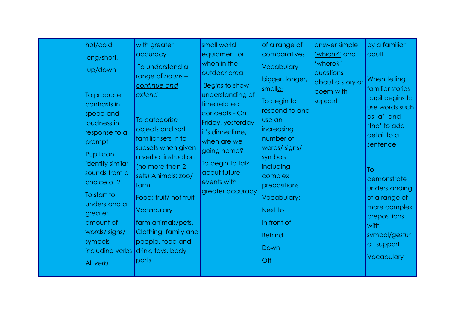| hot/cold<br>long/short,<br>up/down<br>To produce<br>contrasts in<br>speed and<br>loudness in<br>response to a<br>prompt<br>Pupil can<br>identify similar<br>sounds from a<br>choice of 2<br>To start to<br>understand a<br>greater<br>amount of<br>words/signs/<br>symbols<br>including verbs<br>All verb | with greater<br>accuracy<br>To understand a<br>range of nouns -<br>continue and<br>extend<br>To categorise<br>objects and sort<br>familiar sets in to<br>subsets when given<br>a verbal instruction<br>(no more than 2<br>sets) Animals: zoo/<br>farm<br>Food: fruit/ not fruit<br><b>Vocabulary</b><br>farm animals/pets,<br>Clothing, family and<br>people, food and<br>drink, toys, body<br>parts | small world<br>equipment or<br>when in the<br>outdoor area<br>Begins to show<br>understanding of<br>time related<br>concepts - On<br>Friday, yesterday,<br>it's dinnertime,<br>when are we<br>going home?<br>To begin to talk<br>about future<br>events with<br>greater accuracy | of a range of<br>comparatives<br><b>Vocabulary</b><br>bigger, longer,<br>smaller<br>To begin to<br>respond to and<br>use an<br>increasing<br>number of<br>words/ signs/<br>symbols<br>including<br>complex<br>prepositions<br>Vocabulary:<br>Next to<br>In front of<br><b>Behind</b><br>Down<br>Off | answer simple<br>'which?' and<br>'where?'<br>questions<br>about a story or<br>poem with<br>support | by a familiar<br>adult<br>When telling<br>familiar stories<br>pupil begins to<br>use words such<br>as 'a' and<br>'the' to add<br>detail to a<br>sentence<br>To<br>demonstrate<br>understanding<br>of a range of<br>more complex<br>prepositions<br>with<br>symbol/gestur<br>al support<br>Vocabulary |
|-----------------------------------------------------------------------------------------------------------------------------------------------------------------------------------------------------------------------------------------------------------------------------------------------------------|------------------------------------------------------------------------------------------------------------------------------------------------------------------------------------------------------------------------------------------------------------------------------------------------------------------------------------------------------------------------------------------------------|----------------------------------------------------------------------------------------------------------------------------------------------------------------------------------------------------------------------------------------------------------------------------------|-----------------------------------------------------------------------------------------------------------------------------------------------------------------------------------------------------------------------------------------------------------------------------------------------------|----------------------------------------------------------------------------------------------------|------------------------------------------------------------------------------------------------------------------------------------------------------------------------------------------------------------------------------------------------------------------------------------------------------|
|-----------------------------------------------------------------------------------------------------------------------------------------------------------------------------------------------------------------------------------------------------------------------------------------------------------|------------------------------------------------------------------------------------------------------------------------------------------------------------------------------------------------------------------------------------------------------------------------------------------------------------------------------------------------------------------------------------------------------|----------------------------------------------------------------------------------------------------------------------------------------------------------------------------------------------------------------------------------------------------------------------------------|-----------------------------------------------------------------------------------------------------------------------------------------------------------------------------------------------------------------------------------------------------------------------------------------------------|----------------------------------------------------------------------------------------------------|------------------------------------------------------------------------------------------------------------------------------------------------------------------------------------------------------------------------------------------------------------------------------------------------------|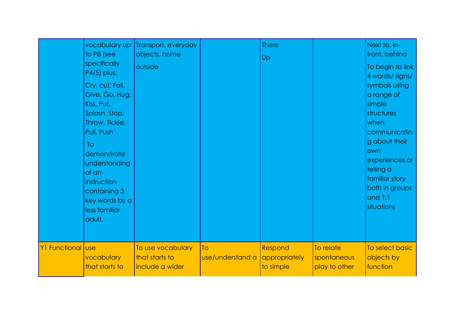|                   | vocabulary up<br>to P8 (see<br>specifically<br>P4/5) plus:<br>Cry, cut, Fall,<br>Give, Go, Hug,<br>Kiss, Put,<br>Splash, Stop,<br>Throw, Tickle,<br>Pull, Push<br>To<br>demonstrate<br>understanding<br>of an<br>instruction<br>containing 3<br>key words by a<br>less familiar<br>adult. | Transport, everyday<br>objects, home<br>outside        |                        | <b>There</b><br>Up                    |                                           | Next to, in-<br>front, behind<br>To begin to link<br>4 words/ signs/<br>symbols using<br>a range of<br>simple<br>structures<br>when<br>communicatin<br>g about their<br>own<br>experiences or<br>telling a<br>familiar story<br>both in groups<br>and $1:1$<br>situations |
|-------------------|-------------------------------------------------------------------------------------------------------------------------------------------------------------------------------------------------------------------------------------------------------------------------------------------|--------------------------------------------------------|------------------------|---------------------------------------|-------------------------------------------|---------------------------------------------------------------------------------------------------------------------------------------------------------------------------------------------------------------------------------------------------------------------------|
| Y1 Functional use | vocabulary<br>that starts to                                                                                                                                                                                                                                                              | To use vocabulary<br>that starts to<br>include a wider | To<br>use/understand a | Respond<br>appropriately<br>to simple | To relate<br>spontaneous<br>play to other | To select basic<br>objects by<br>function                                                                                                                                                                                                                                 |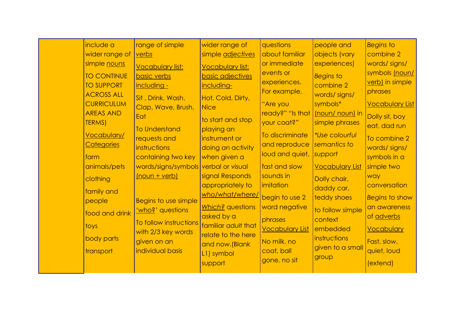| include a<br>wider range of<br>simple nouns<br><b>TO CONTINUE</b><br><b>TO SUPPORT</b><br><b>ACROSS ALL</b><br><b>CURRICULUM</b><br><b>AREAS AND</b><br><b>TERMS)</b><br><b>Vocabulary/</b><br><b>Categories</b><br>farm<br>animals/pets<br>clothing<br>family and<br>people<br>food and drink<br>toys<br>body parts<br>transport | range of simple<br>verbs<br><b>Vocabulary list:</b><br>basic verbs<br>including -<br>Sit, Drink, Wash,<br>Clap, Wave, Brush,<br>Eat<br><b>To Understand</b><br>requests and<br>instructions<br>containing two key<br>words/signs/symbols verbal or visual<br>(noun + verb)<br>Begins to use simple<br><u>'who?</u> ' questions<br>To follow instructions<br>with 2/3 key words<br>given on an<br>individual basis | wider range of<br>simple adjectives<br><b>Vocabulary list:</b><br><b>basic adjectives</b><br>including-<br>Hot, Cold, Dirty,<br><b>Nice</b><br>to start and stop<br>playing an<br>instrument or<br>doing an activity<br>when given a<br>signal Responds<br>appropriately to<br>who/what/where/<br>Which? questions<br>asked by a<br>familiar adult that<br>relate to the here<br>and now. (Blank<br>L1) symbol<br>support | questions<br>about familiar<br>or immediate<br>events or<br>experiences.<br>For example,<br>"Are you<br>ready?" "Is that  <br>your coat?"<br>To discriminate<br>and reproduce<br>loud and quiet,<br>fast and slow<br>sounds in<br>imitation<br>begin to use 2<br>word negative<br>phrases<br><b>Vocabulary List</b><br>No milk, no<br>coat, ball<br>gone, no sit | people and<br>objects (vary<br>experiences)<br><b>Begins to</b><br>combine 2<br>words/signs/<br>symbols*<br>(noun/ noun) in<br>simple phrases<br><i>*Use colourful</i><br>semantics to<br>support<br><b>Vocabulary List</b><br>Dolly chair,<br>daddy car,<br>teddy shoes<br>to follow simple<br>context<br>embedded<br>instructions<br>given to a small<br>group | <b>Begins to</b><br>combine 2<br>words/signs/<br>symbols (noun/<br>verb) in simple<br>phrases<br><b>Vocabulary List</b><br>Dolly sit, boy<br>eat, dad run<br>To combine 2<br>words/signs/<br>symbols in a<br>simple two<br>way<br>conversation<br>Begins to show<br>an awareness<br>of adverbs<br><b>Vocabulary</b><br>Fast, slow,<br>quiet, loud<br>(extend) |
|-----------------------------------------------------------------------------------------------------------------------------------------------------------------------------------------------------------------------------------------------------------------------------------------------------------------------------------|-------------------------------------------------------------------------------------------------------------------------------------------------------------------------------------------------------------------------------------------------------------------------------------------------------------------------------------------------------------------------------------------------------------------|---------------------------------------------------------------------------------------------------------------------------------------------------------------------------------------------------------------------------------------------------------------------------------------------------------------------------------------------------------------------------------------------------------------------------|------------------------------------------------------------------------------------------------------------------------------------------------------------------------------------------------------------------------------------------------------------------------------------------------------------------------------------------------------------------|------------------------------------------------------------------------------------------------------------------------------------------------------------------------------------------------------------------------------------------------------------------------------------------------------------------------------------------------------------------|---------------------------------------------------------------------------------------------------------------------------------------------------------------------------------------------------------------------------------------------------------------------------------------------------------------------------------------------------------------|
|-----------------------------------------------------------------------------------------------------------------------------------------------------------------------------------------------------------------------------------------------------------------------------------------------------------------------------------|-------------------------------------------------------------------------------------------------------------------------------------------------------------------------------------------------------------------------------------------------------------------------------------------------------------------------------------------------------------------------------------------------------------------|---------------------------------------------------------------------------------------------------------------------------------------------------------------------------------------------------------------------------------------------------------------------------------------------------------------------------------------------------------------------------------------------------------------------------|------------------------------------------------------------------------------------------------------------------------------------------------------------------------------------------------------------------------------------------------------------------------------------------------------------------------------------------------------------------|------------------------------------------------------------------------------------------------------------------------------------------------------------------------------------------------------------------------------------------------------------------------------------------------------------------------------------------------------------------|---------------------------------------------------------------------------------------------------------------------------------------------------------------------------------------------------------------------------------------------------------------------------------------------------------------------------------------------------------------|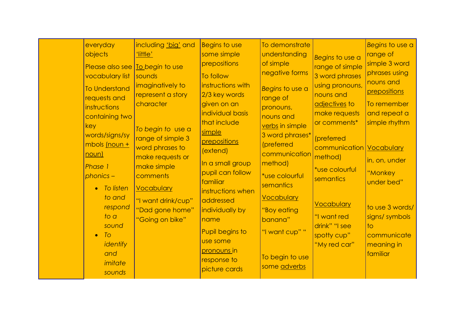| everyday<br>objects<br>vocabulary list<br><b>To Understand</b><br>requests and<br>instructions<br>containing two<br>key<br>words/signs/sy<br>mbols (noun +<br>noun)<br><b>Phase 1</b><br>$phonics -$<br>To listen<br>$\bullet$<br>to and<br>respond<br>$\frac{1}{2}$<br>sound<br>To<br>$\bullet$<br>identify | including 'big' and<br><u>'little'</u><br>Please also see   Io begin to use<br>sounds<br>imaginatively to<br>represent a story<br>character<br>To begin to use a<br>range of simple 3<br>word phrases to<br>make requests or<br>make simple<br>comments<br><b>Vocabulary</b><br>"I want drink/cup"<br>"Dad gone home"<br>"Going on bike" | <b>Begins to use</b><br>some simple<br>prepositions<br>To follow<br>instructions with<br>2/3 key words<br>given on an<br>individual basis<br>that include<br>simple<br>prepositions<br>(extend)<br>In a small group<br>pupil can follow<br>familiar<br>instructions when<br>addressed<br>individually by<br>name<br>Pupil begins to<br>use some | To demonstrate<br>understanding<br>of simple<br>negative forms<br>Begins to use a<br>range of<br>pronouns,<br>nouns and<br>verbs in simple<br>3 word phrases*<br>(preferred<br>communication<br>method)<br>*use colourful<br>semantics<br><b>Vocabulary</b><br>"Boy eating<br>banana"<br>"I want cup" " | Begins to use a<br>range of simple<br>3 word phrases<br>using pronouns,<br>nouns and<br>adjectives to<br>make requests<br>or comments*<br>(preferred<br>communication   Vocabulary<br>method)<br>*use colourful<br>semantics<br><b>Vocabulary</b><br>"I want red<br>drink" "I see<br>spotty cup"<br>"My red car" | Begins to use a<br>range of<br>simple 3 word<br>phrases using<br>nouns and<br>prepositions<br>To remember<br>and repeat a<br>simple rhythm<br>in, on, under<br>"Monkey<br>under bed"<br>to use 3 words/<br>signs/symbols<br>to<br>communicate<br>meaning in |
|--------------------------------------------------------------------------------------------------------------------------------------------------------------------------------------------------------------------------------------------------------------------------------------------------------------|------------------------------------------------------------------------------------------------------------------------------------------------------------------------------------------------------------------------------------------------------------------------------------------------------------------------------------------|-------------------------------------------------------------------------------------------------------------------------------------------------------------------------------------------------------------------------------------------------------------------------------------------------------------------------------------------------|---------------------------------------------------------------------------------------------------------------------------------------------------------------------------------------------------------------------------------------------------------------------------------------------------------|------------------------------------------------------------------------------------------------------------------------------------------------------------------------------------------------------------------------------------------------------------------------------------------------------------------|-------------------------------------------------------------------------------------------------------------------------------------------------------------------------------------------------------------------------------------------------------------|
| and<br>imitate<br>sounds                                                                                                                                                                                                                                                                                     |                                                                                                                                                                                                                                                                                                                                          | pronouns in<br>response to<br>picture cards                                                                                                                                                                                                                                                                                                     | To begin to use<br>some adverbs                                                                                                                                                                                                                                                                         |                                                                                                                                                                                                                                                                                                                  | familiar                                                                                                                                                                                                                                                    |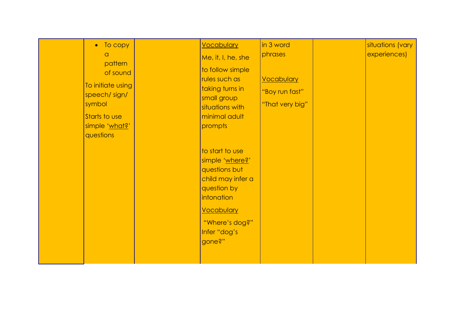| • To copy<br>$\alpha$<br>pattern<br>of sound<br>To initiate using<br>speech/sign/<br>symbol<br>Starts to use<br>simple 'what?'<br>questions |  | <b>Vocabulary</b><br>Me, it, I, he, she<br>to follow simple<br>rules such as<br>taking turns in<br>small group<br>situations with<br>minimal adult<br>prompts<br>to start to use<br>simple 'where?'<br>questions but<br>child may infer a<br>question by<br>intonation<br>Vocabulary<br>"Where's dog?"<br>Infer "dog's<br>gone?" | in 3 word<br>phrases<br><b>Vocabulary</b><br>"Boy run fast"<br>"That very big" |  | situations (vary<br>experiences) |
|---------------------------------------------------------------------------------------------------------------------------------------------|--|----------------------------------------------------------------------------------------------------------------------------------------------------------------------------------------------------------------------------------------------------------------------------------------------------------------------------------|--------------------------------------------------------------------------------|--|----------------------------------|
|---------------------------------------------------------------------------------------------------------------------------------------------|--|----------------------------------------------------------------------------------------------------------------------------------------------------------------------------------------------------------------------------------------------------------------------------------------------------------------------------------|--------------------------------------------------------------------------------|--|----------------------------------|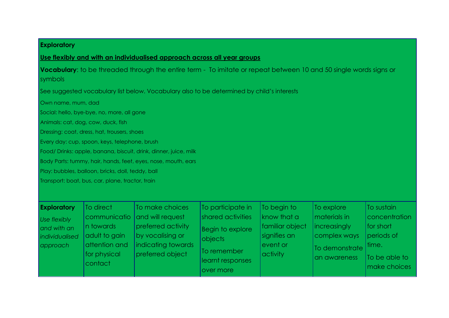## **Exploratory**

## **Use flexibly and with an individualised approach across all year groups**

**Vocabulary**: to be threaded through the entire term - To imitate or repeat between 10 and 50 single words signs or symbols

See suggested vocabulary list below. Vocabulary also to be determined by child's interests

Own name, mum, dad

Social: hello, bye-bye, no, more, all gone

Animals: cat, dog, cow, duck, fish

Dressing: coat, dress, hat, trousers, shoes

Every day: cup, spoon, keys, telephone, brush

Food/ Drinks: apple, banana, biscuit, drink, dinner, juice, milk

Body Parts: tummy, hair, hands, feet, eyes, nose, mouth, ears

Play: bubbles, balloon, bricks, doll, teddy, ball

Transport: boat, bus, car, plane, tractor, train

| <b>Exploratory</b><br>Use flexibly<br>and with an<br>individualised<br>approach | To direct<br>n towards<br>adult to gain<br>attention and<br>for physical<br><i>contact</i> | To make choices<br>communicatio and will request<br>preferred activity<br>by vocalising or<br>indicating towards<br>preferred object | To participate in<br>shared activities<br>Begin to explore<br><b>objects</b><br>To remember<br>learnt responses<br>over more | To begin to<br>know that a<br>familiar object<br>signifies an<br>event or<br>activity | To explore<br>materials in<br><i>increasingly</i><br>complex ways<br>To demonstrate time.<br>an awareness | <b>To sustain</b><br> concentration <br>for short<br>periods of<br>To be able to<br>make choices |
|---------------------------------------------------------------------------------|--------------------------------------------------------------------------------------------|--------------------------------------------------------------------------------------------------------------------------------------|------------------------------------------------------------------------------------------------------------------------------|---------------------------------------------------------------------------------------|-----------------------------------------------------------------------------------------------------------|--------------------------------------------------------------------------------------------------|
|---------------------------------------------------------------------------------|--------------------------------------------------------------------------------------------|--------------------------------------------------------------------------------------------------------------------------------------|------------------------------------------------------------------------------------------------------------------------------|---------------------------------------------------------------------------------------|-----------------------------------------------------------------------------------------------------------|--------------------------------------------------------------------------------------------------|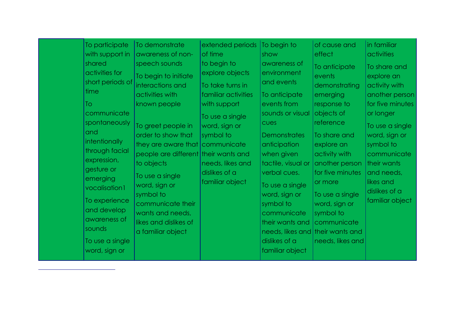| To participate<br>with support in<br>shared<br>activities for<br>short periods of<br>time<br>To<br>communicate<br>spontaneously<br>and<br>intentionally<br>through facial<br>expression,<br>gesture or<br>emerging<br>vocalisation1<br>To experience<br>and develop<br>awareness of<br>sounds<br>To use a single<br>word, sign or | To demonstrate<br>awareness of non-<br>speech sounds<br>To begin to initiate<br>interactions and<br>activities with<br>known people<br>To greet people in<br>order to show that<br>they are aware that communicate<br>people are different their wants and<br>to objects<br>To use a single<br>word, sign or<br>symbol to<br>communicate their<br>wants and needs,<br>likes and dislikes of<br>a familiar object | extended periods   To begin to<br>of time<br>to begin to<br>explore objects<br>To take turns in<br>familiar activities<br>with support<br>To use a single<br>word, sign or<br>symbol to<br>needs, likes and<br>dislikes of a<br>familiar object | show<br>awareness of<br>environment<br>and events<br>To anticipate<br>events from<br>sounds or visual<br>cues<br><b>Demonstrates</b><br>anticipation<br>when given<br>tactile, visual or<br>verbal cues.<br>To use a single<br>word, sign or<br>symbol to<br>communicate<br>their wants and<br>dislikes of a<br>familiar object | of cause and<br>effect<br>To anticipate<br>events<br>demonstrating<br>emerging<br>response to<br>objects of<br>reference<br>To share and<br>explore an<br>activity with<br>another person<br>for five minutes<br>or more<br>To use a single<br>word, sign or<br>symbol to<br><i>communicate</i><br>needs, likes and their wants and<br>needs, likes and | in familiar<br>activities<br>To share and<br>explore an<br>activity with<br>another person<br>for five minutes<br>or longer<br>To use a single<br>word, sign or<br>symbol to<br>communicate<br>their wants<br>and needs,<br>likes and<br>dislikes of a<br>familiar object |
|-----------------------------------------------------------------------------------------------------------------------------------------------------------------------------------------------------------------------------------------------------------------------------------------------------------------------------------|------------------------------------------------------------------------------------------------------------------------------------------------------------------------------------------------------------------------------------------------------------------------------------------------------------------------------------------------------------------------------------------------------------------|-------------------------------------------------------------------------------------------------------------------------------------------------------------------------------------------------------------------------------------------------|---------------------------------------------------------------------------------------------------------------------------------------------------------------------------------------------------------------------------------------------------------------------------------------------------------------------------------|---------------------------------------------------------------------------------------------------------------------------------------------------------------------------------------------------------------------------------------------------------------------------------------------------------------------------------------------------------|---------------------------------------------------------------------------------------------------------------------------------------------------------------------------------------------------------------------------------------------------------------------------|
|-----------------------------------------------------------------------------------------------------------------------------------------------------------------------------------------------------------------------------------------------------------------------------------------------------------------------------------|------------------------------------------------------------------------------------------------------------------------------------------------------------------------------------------------------------------------------------------------------------------------------------------------------------------------------------------------------------------------------------------------------------------|-------------------------------------------------------------------------------------------------------------------------------------------------------------------------------------------------------------------------------------------------|---------------------------------------------------------------------------------------------------------------------------------------------------------------------------------------------------------------------------------------------------------------------------------------------------------------------------------|---------------------------------------------------------------------------------------------------------------------------------------------------------------------------------------------------------------------------------------------------------------------------------------------------------------------------------------------------------|---------------------------------------------------------------------------------------------------------------------------------------------------------------------------------------------------------------------------------------------------------------------------|

 $\overline{a}$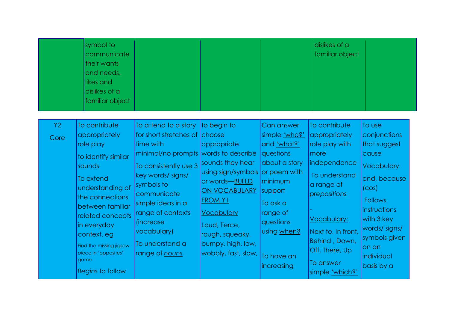|            | symbol to<br>communicate<br>their wants<br>and needs,<br>likes and<br>dislikes of a<br>familiar object                                                                                                                                                                                |                                                                                                                                                                                                                                                                                                                      |                                                                                                                                                                                                                  |                                                                                                                                                                                                | dislikes of a<br>familiar object                                                                                                                                                                                                       |                                                                                                                                                                                                                     |
|------------|---------------------------------------------------------------------------------------------------------------------------------------------------------------------------------------------------------------------------------------------------------------------------------------|----------------------------------------------------------------------------------------------------------------------------------------------------------------------------------------------------------------------------------------------------------------------------------------------------------------------|------------------------------------------------------------------------------------------------------------------------------------------------------------------------------------------------------------------|------------------------------------------------------------------------------------------------------------------------------------------------------------------------------------------------|----------------------------------------------------------------------------------------------------------------------------------------------------------------------------------------------------------------------------------------|---------------------------------------------------------------------------------------------------------------------------------------------------------------------------------------------------------------------|
| Y2<br>Core | To contribute<br>appropriately<br>role play<br>to identify similar<br>sounds<br>To extend<br>understanding of<br>the connections<br>between familiar<br>related concepts<br>in everyday<br>context. eg<br>Find the missing jigsaw<br>piece in 'opposites'<br>game<br>Begins to follow | To attend to a story to begin to<br>for short stretches of choose<br>time with<br>minimal/no prompts words to describe<br>To consistently use 3<br>key words/ signs/<br>symbols to<br>communicate<br>simple ideas in a<br>range of contexts<br><i>l</i> increase<br>vocabulary)<br>To understand a<br>range of nouns | appropriate<br>sounds they hear<br>using sign/symbols<br>or words-BUIILD<br>ON VOCABULARY<br><b>FROM Y1</b><br><b>Vocabulary</b><br>Loud, fierce,<br>rough, squeaky,<br>bumpy, high, low,<br>wobbly, fast, slow, | Can answer<br>simple 'who?'<br>and 'what?'<br>questions<br>about a story<br>or poem with<br>minimum<br>support<br>To ask a<br>range of<br>questions<br>using when?<br>To have an<br>increasing | To contribute<br>appropriately<br>role play with<br>more<br>independence<br>To understand<br>a range of<br>prepositions<br><b>Vocabulary:</b><br>Next to, In front,<br>Behind, Down,<br>Off, There, Up<br>To answer<br>simple 'which?' | To use<br>conjunctions<br>that suggest<br>cause<br><b>Vocabulary</b><br>and, because<br>(COS)<br><b>Follows</b><br>instructions<br>with 3 key<br>words/signs/<br>symbols given<br>on an<br>individual<br>basis by a |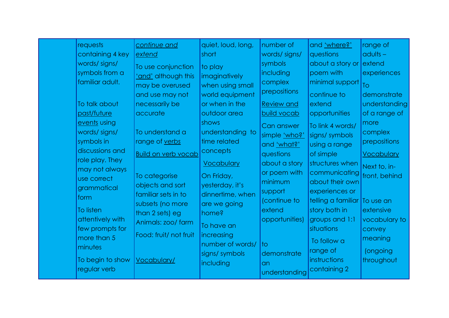| <b>requests</b><br>containing 4 key<br>words/signs/<br>symbols from a<br>familiar adult.<br>To talk about<br>past/future<br>events using<br>words/signs/<br>symbols in<br>discussions and<br>role play. They<br>may not always<br>use correct<br>grammatical<br>form<br>To listen<br>attentively with<br>few prompts for<br>more than 5<br>minutes<br>To begin to show<br>regular verb | continue and<br>extend<br>To use conjunction<br>'and' although this<br>may be overused<br>and use may not<br>necessarily be<br>accurate<br>To understand a<br>range of verbs<br><b>Build on verb vocab</b><br>To categorise<br>objects and sort<br>familiar sets in to<br>subsets (no more<br>than 2 sets) eg<br>Animals: zoo/ farm<br>Food: fruit/ not fruit<br>Vocabulary/ | quiet, loud, long,<br>short<br>to play<br>imaginatively<br>when using small<br>world equipment<br>or when in the<br>outdoor area<br>shows<br>understanding to<br>time related<br>concepts<br><b>Vocabulary</b><br>On Friday,<br>yesterday, it's<br>dinnertime, when<br>are we going<br>home?<br>To have an<br>increasing<br>number of words/<br>signs/symbols<br>including | number of<br>words/signs/<br>symbols<br>including<br>complex<br>prepositions<br><b>Review and</b><br>build vocab<br>Can answer<br>simple 'who?'<br>and 'what?'<br>questions<br>about a story<br>or poem with<br>minimum<br>support<br>(continue to<br>extend<br>opportunities)<br>$\overline{\mathsf{1}}$<br>demonstrate<br>an<br>understanding | and 'where?'<br>questions<br>about a story or extend<br>poem with<br>minimal support<br>continue to<br>extend<br>opportunities<br>To link 4 words/<br>signs/ symbols<br>using a range<br>of simple<br>structures when<br>communicating<br>about their own<br>experiences or<br>telling a familiar To use an<br>story both in<br>groups and 1:1<br>situations<br>To follow a<br>range of<br>instructions<br>containing 2 | range of<br>$adults -$<br>experiences<br>To<br>demonstrate<br>understanding<br>of a range of<br>more<br>complex<br>prepositions<br><b>Vocabulary</b><br>Next to, in-<br>front, behind<br>extensive<br>vocabulary to<br>convey<br>meaning<br>(ongoing<br>throughout |
|----------------------------------------------------------------------------------------------------------------------------------------------------------------------------------------------------------------------------------------------------------------------------------------------------------------------------------------------------------------------------------------|------------------------------------------------------------------------------------------------------------------------------------------------------------------------------------------------------------------------------------------------------------------------------------------------------------------------------------------------------------------------------|----------------------------------------------------------------------------------------------------------------------------------------------------------------------------------------------------------------------------------------------------------------------------------------------------------------------------------------------------------------------------|-------------------------------------------------------------------------------------------------------------------------------------------------------------------------------------------------------------------------------------------------------------------------------------------------------------------------------------------------|-------------------------------------------------------------------------------------------------------------------------------------------------------------------------------------------------------------------------------------------------------------------------------------------------------------------------------------------------------------------------------------------------------------------------|--------------------------------------------------------------------------------------------------------------------------------------------------------------------------------------------------------------------------------------------------------------------|
|----------------------------------------------------------------------------------------------------------------------------------------------------------------------------------------------------------------------------------------------------------------------------------------------------------------------------------------------------------------------------------------|------------------------------------------------------------------------------------------------------------------------------------------------------------------------------------------------------------------------------------------------------------------------------------------------------------------------------------------------------------------------------|----------------------------------------------------------------------------------------------------------------------------------------------------------------------------------------------------------------------------------------------------------------------------------------------------------------------------------------------------------------------------|-------------------------------------------------------------------------------------------------------------------------------------------------------------------------------------------------------------------------------------------------------------------------------------------------------------------------------------------------|-------------------------------------------------------------------------------------------------------------------------------------------------------------------------------------------------------------------------------------------------------------------------------------------------------------------------------------------------------------------------------------------------------------------------|--------------------------------------------------------------------------------------------------------------------------------------------------------------------------------------------------------------------------------------------------------------------|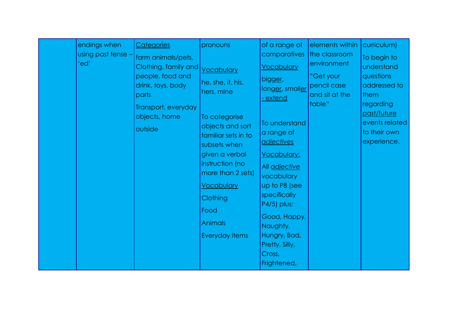|  | endings when<br>using past tense -<br>'ed' | Categories<br>farm animals/pets,<br>Clothing, family and<br>people, food and<br>drink, toys, body<br>parts<br>Transport, everyday<br>objects, home<br>outside | pronouns<br>Vocabulary<br>he, she, it, his,<br>hers, mine<br>To categorise<br>objects and sort<br>familiar sets in to<br>subsets when<br>given a verbal<br>instruction (no<br>more than 2 sets)<br><b>Vocabulary</b><br>Clothing<br>Food<br><b>Animals</b><br>Everyday items | of a range of<br>comparatives<br><b>Vocabulary</b><br>bigger,<br>longer, smaller<br><u>- extend</u><br>To understand<br>a range of<br><u>adjectives</u><br><b>Vocabulary:</b><br>All adjective<br>vocabulary<br>up to P8 (see<br>specifically<br>P4/5) plus:<br>Good, Happy,<br>Naughty,<br>Hungry, Bad,<br>Pretty, Silly,<br>Cross,<br>Frightened, | elements within<br>the classroom<br>environment<br>"Get your<br>pencil case<br>and sit at the<br>table" | curriculum)<br>To begin to<br>understand<br>questions<br>addressed to<br>them<br>regarding<br>past/future<br>events related<br>to their own<br>experience. |
|--|--------------------------------------------|---------------------------------------------------------------------------------------------------------------------------------------------------------------|------------------------------------------------------------------------------------------------------------------------------------------------------------------------------------------------------------------------------------------------------------------------------|-----------------------------------------------------------------------------------------------------------------------------------------------------------------------------------------------------------------------------------------------------------------------------------------------------------------------------------------------------|---------------------------------------------------------------------------------------------------------|------------------------------------------------------------------------------------------------------------------------------------------------------------|
|--|--------------------------------------------|---------------------------------------------------------------------------------------------------------------------------------------------------------------|------------------------------------------------------------------------------------------------------------------------------------------------------------------------------------------------------------------------------------------------------------------------------|-----------------------------------------------------------------------------------------------------------------------------------------------------------------------------------------------------------------------------------------------------------------------------------------------------------------------------------------------------|---------------------------------------------------------------------------------------------------------|------------------------------------------------------------------------------------------------------------------------------------------------------------|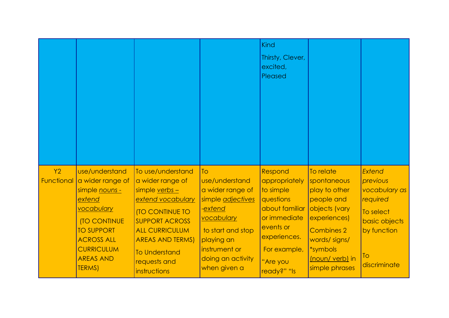|                  |                                                                                                                                                                                                         |                                                                                                                                                                                                                                             |                                                                                                                                                                                 | <b>Kind</b><br>Thirsty, Clever,<br>excited,<br>Pleased                                                                                                       |                                                                                                                                                                                |                                                                                                                           |
|------------------|---------------------------------------------------------------------------------------------------------------------------------------------------------------------------------------------------------|---------------------------------------------------------------------------------------------------------------------------------------------------------------------------------------------------------------------------------------------|---------------------------------------------------------------------------------------------------------------------------------------------------------------------------------|--------------------------------------------------------------------------------------------------------------------------------------------------------------|--------------------------------------------------------------------------------------------------------------------------------------------------------------------------------|---------------------------------------------------------------------------------------------------------------------------|
| Y2<br>Functional | use/understand<br>a wider range of<br>simple nouns -<br>extend<br>vocabulary<br><b>(TO CONTINUE</b><br><b>TO SUPPORT</b><br><b>ACROSS ALL</b><br><b>CURRICULUM</b><br><b>AREAS AND</b><br><b>TERMS)</b> | To use/understand<br>a wider range of<br>simple verbs -<br>extend vocabulary<br><b>ITO CONTINUE TO</b><br><b>SUPPORT ACROSS</b><br><b>ALL CURRICULUM</b><br><b>AREAS AND TERMS)</b><br><b>To Understand</b><br>requests and<br>instructions | To<br>use/understand<br>a wider range of<br>simple adjectives<br>-extend<br>vocabulary<br>to start and stop<br>playing an<br>instrument or<br>doing an activity<br>when given a | Respond<br>appropriately<br>to simple<br>questions<br>about familiar<br>or immediate<br>events or<br>experiences.<br>For example,<br>"Are you<br>ready?" "Is | To relate<br>spontaneous<br>play to other<br>people and<br>objects (vary<br>experiences)<br><b>Combines 2</b><br>words/signs/<br>*symbols<br>(noun/ verb) in<br>simple phrases | <b>Extend</b><br>previous<br>vocabulary as<br>required<br>To select<br>basic objects<br>by function<br>To<br>discriminate |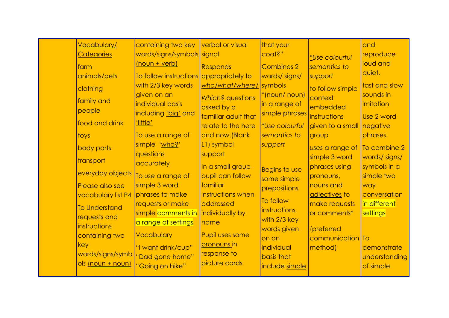| farm<br>toys<br>key | <b>Vocabulary/</b><br><b>Categories</b><br>animals/pets<br>clothing<br>family and<br>people<br>food and drink<br>body parts<br>transport<br>everyday objects<br>Please also see<br>vocabulary list P4<br><b>To Understand</b><br>requests and<br>instructions<br>containing two<br>words/signs/symb<br>ols (noun + noun) | containing two key<br>words/signs/symbols signal<br>(noun + verb)<br>To follow instructions<br>with 2/3 key words<br>given on an<br>individual basis<br>including 'big' and<br>'little'<br>To use a range of<br>simple 'who?'<br>questions<br>accurately<br>To use a range of<br>simple 3 word<br>phrases to make<br>requests or make<br>simple comments in<br>a range of settings<br><b>Vocabulary</b><br>"I want drink/cup"<br>"Dad gone home"<br>"Going on bike" | verbal or visual<br><b>Responds</b><br>appropriately to<br>who/what/where/<br>Which? questions<br>asked by a<br>familiar adult that<br>relate to the here<br>and now. (Blank<br>L1) symbol<br>support<br>In a small group<br>pupil can follow<br>familiar<br>instructions when<br>addressed<br>individually by<br>name<br>Pupil uses some<br>pronouns in<br>response to<br>picture cards | that your<br>coat?"<br><b>Combines 2</b><br>words/signs/<br>symbols<br><u>*[noun/ noun)</u><br>in a range of<br>simple phrases<br><i>*Use colourful</i><br>semantics to<br>support<br><b>Begins to use</b><br>some simple<br>prepositions<br>To follow<br><i>instructions</i><br>with 2/3 key<br>words given<br>on an<br>individual<br>basis that<br>include simple | <i>*Use colourful</i><br>semantics to<br>support<br>to follow simple<br>context<br>embedded<br>instructions<br>given to a small<br>group<br>uses a range of<br>simple 3 word<br>phrases using<br>pronouns,<br>nouns and<br>adjectives to<br>make requests<br>or comments*<br>(preferred<br>communication To<br>method) | and<br>reproduce<br>loud and<br>quiet,<br>fast and slow<br>sounds in<br>imitation<br>Use 2 word<br>negative<br>phrases<br>To combine 2<br>words/signs/<br>symbols in a<br>simple two<br>way<br>conversation<br>in different<br>settings<br>demonstrate<br>understanding<br>of simple |
|---------------------|--------------------------------------------------------------------------------------------------------------------------------------------------------------------------------------------------------------------------------------------------------------------------------------------------------------------------|---------------------------------------------------------------------------------------------------------------------------------------------------------------------------------------------------------------------------------------------------------------------------------------------------------------------------------------------------------------------------------------------------------------------------------------------------------------------|------------------------------------------------------------------------------------------------------------------------------------------------------------------------------------------------------------------------------------------------------------------------------------------------------------------------------------------------------------------------------------------|---------------------------------------------------------------------------------------------------------------------------------------------------------------------------------------------------------------------------------------------------------------------------------------------------------------------------------------------------------------------|------------------------------------------------------------------------------------------------------------------------------------------------------------------------------------------------------------------------------------------------------------------------------------------------------------------------|--------------------------------------------------------------------------------------------------------------------------------------------------------------------------------------------------------------------------------------------------------------------------------------|
|---------------------|--------------------------------------------------------------------------------------------------------------------------------------------------------------------------------------------------------------------------------------------------------------------------------------------------------------------------|---------------------------------------------------------------------------------------------------------------------------------------------------------------------------------------------------------------------------------------------------------------------------------------------------------------------------------------------------------------------------------------------------------------------------------------------------------------------|------------------------------------------------------------------------------------------------------------------------------------------------------------------------------------------------------------------------------------------------------------------------------------------------------------------------------------------------------------------------------------------|---------------------------------------------------------------------------------------------------------------------------------------------------------------------------------------------------------------------------------------------------------------------------------------------------------------------------------------------------------------------|------------------------------------------------------------------------------------------------------------------------------------------------------------------------------------------------------------------------------------------------------------------------------------------------------------------------|--------------------------------------------------------------------------------------------------------------------------------------------------------------------------------------------------------------------------------------------------------------------------------------|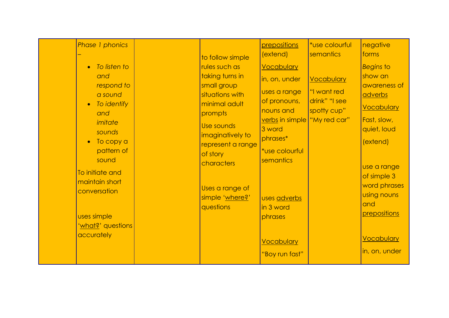|  | Phase 1 phonics<br>To listen to<br>and<br>respond to<br>a sound<br>To identify<br>and<br>imitate<br>sounds<br>To copy a<br>pattern of<br>sound<br>To initiate and<br>maintain short<br>conversation<br>uses simple<br>' <u>what?</u> ' questions<br>accurately |  | to follow simple<br>rules such as<br>taking turns in<br>small group<br>situations with<br>minimal adult<br>prompts<br>Use sounds<br>imaginatively to<br>represent a range<br>of story<br>characters<br>Uses a range of<br>simple 'where?'<br>questions | prepositions<br>(extend)<br><b>Vocabulary</b><br>in, on, under<br>uses a range<br>of pronouns,<br>nouns and<br>verbs in simple "My red car"<br>3 word<br>phrases*<br>*use colourful<br>semantics<br>uses adverbs<br>in 3 word<br>phrases<br><b>Vocabulary</b><br>"Boy run fast" | *use colourful<br>semantics<br><b>Vocabulary</b><br>"I want red<br>drink" "I see<br>spotty cup" | negative<br>forms<br><b>Begins to</b><br>show an<br>awareness of<br>adverbs<br><b>Vocabulary</b><br>Fast, slow,<br>quiet, loud<br>(extend)<br>use a range<br>of simple 3<br>word phrases<br>using nouns<br>and<br>prepositions<br><b>Vocabulary</b><br>in, on, under |
|--|----------------------------------------------------------------------------------------------------------------------------------------------------------------------------------------------------------------------------------------------------------------|--|--------------------------------------------------------------------------------------------------------------------------------------------------------------------------------------------------------------------------------------------------------|---------------------------------------------------------------------------------------------------------------------------------------------------------------------------------------------------------------------------------------------------------------------------------|-------------------------------------------------------------------------------------------------|----------------------------------------------------------------------------------------------------------------------------------------------------------------------------------------------------------------------------------------------------------------------|
|--|----------------------------------------------------------------------------------------------------------------------------------------------------------------------------------------------------------------------------------------------------------------|--|--------------------------------------------------------------------------------------------------------------------------------------------------------------------------------------------------------------------------------------------------------|---------------------------------------------------------------------------------------------------------------------------------------------------------------------------------------------------------------------------------------------------------------------------------|-------------------------------------------------------------------------------------------------|----------------------------------------------------------------------------------------------------------------------------------------------------------------------------------------------------------------------------------------------------------------------|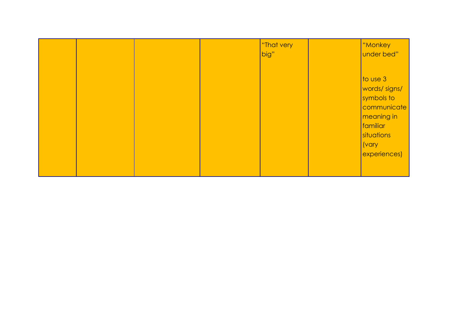|  | "That very<br>big" | "Monkey<br>under bed"                                                                                                                            |
|--|--------------------|--------------------------------------------------------------------------------------------------------------------------------------------------|
|  |                    | $\sqrt{\frac{1}{10}}$ use 3<br>words/signs/<br>symbols to<br>communicate<br>meaning in<br>familiar<br>situations<br><i>(vary</i><br>experiences) |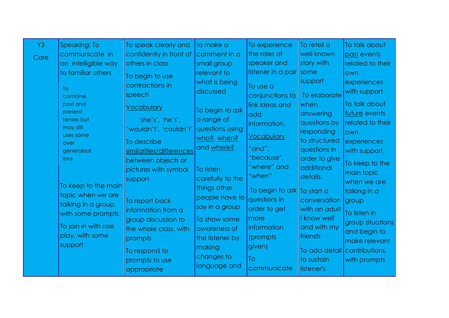| Y <sub>3</sub> | Speaking: To         | To speak clearly and     | to make a        | To experience              | To retell a   | To talk about    |
|----------------|----------------------|--------------------------|------------------|----------------------------|---------------|------------------|
| Core           | communicate in       | confidently in front of  | comment In a     | the roles of               | well known    | past events      |
|                | an intelligible way  | others in class          | small group      | speaker and                | story with    | related to their |
|                | to familiar others   | To begin to use          | relevant to      | listener in a pair   some  |               | own              |
|                |                      | contractions in          | what is being    | To use a                   | support       | experiences      |
|                | <b>To</b><br>combine | speech                   | discussed        | conjunctions to            | To elaborate  | with support     |
|                | past and             |                          |                  | link ideas and             | when          | To talk about    |
|                | present              | <b>Vocabulary</b>        | To begin to ask  | add                        | answering     | future events    |
|                | tenses but           | 'she's', 'he's',         | a range of       | information.               | questions by  | related to their |
|                | may still            | 'wouldn't', 'couldn't'   | questions using  |                            | responding    | own              |
|                | uses some<br>over    | To describe              | who?, when?      | <b>Vocabulary</b>          | to structured | experiences      |
|                | generalisat          | similarities/differences | and where?       | "and",                     | questions in  | with support     |
|                | ions                 | between objects or       |                  | "because",                 | order to give | To keep to the   |
|                |                      | pictures with symbol     | <b>To listen</b> | "where" and                | additional    | main topic       |
|                |                      | support                  | carefully to the | "when"                     | details.      | when we are      |
|                | To keep to the main  |                          | things other     | To begin to ask To start a |               | talking in a     |
|                | topic when we are    | To report back           | people have to   | questions in               | conversation  | group            |
|                | talking in a group,  | information from a       | say in a group   | order to get               | with an adult | To listen in     |
|                | with some prompts    | group discussion to      | To show some     | more                       | I know well   | group situations |
|                | To join in with role | the whole class, with    | awareness of     | information                | and with my   | and begin to     |
|                | play, with some      | prompts                  | the listener by  | (prompts)                  | friends       | make relevant    |
|                | support              | To respond to            | making           | given)                     | To add detail | contributions,   |
|                |                      | prompts to use           | changes to       | To                         | to sustain    | with prompts     |
|                |                      | appropriate              | language and     | communicate                | listener's    |                  |
|                |                      |                          |                  |                            |               |                  |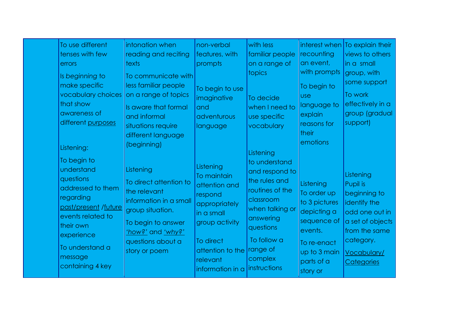| To use different<br>tenses with few<br>errors<br>Is beginning to<br>make specific<br>vocabulary choices<br>that show<br>awareness of<br>different purposes                                                       | intonation when<br>reading and reciting<br><b>texts</b><br>To communicate with<br>less familiar people<br>on a range of topics<br>Is aware that formal<br>and informal                                                                        | non-verbal<br>features, with<br>prompts<br>To begin to use<br>imaginative<br>and<br>adventurous                                                                                    | with less<br>familiar people<br>on a range of<br>topics<br>To decide<br>when I need to<br>use specific                                                                                                         | interest when<br> recounting<br>an event,<br>with prompts<br>To begin to<br><b>USe</b><br>language to<br>explain<br>reasons for                                  | To explain their<br>views to others<br>in a small<br>group, with<br>some support<br>To work<br>effectively in a<br>group (gradual<br>support)          |
|------------------------------------------------------------------------------------------------------------------------------------------------------------------------------------------------------------------|-----------------------------------------------------------------------------------------------------------------------------------------------------------------------------------------------------------------------------------------------|------------------------------------------------------------------------------------------------------------------------------------------------------------------------------------|----------------------------------------------------------------------------------------------------------------------------------------------------------------------------------------------------------------|------------------------------------------------------------------------------------------------------------------------------------------------------------------|--------------------------------------------------------------------------------------------------------------------------------------------------------|
| Listening:<br>To begin to<br>understand<br>questions<br>addressed to them<br>regarding<br>past/present /future<br>events related to<br>their own<br>experience<br>To understand a<br>message<br>containing 4 key | situations require<br>different language<br>(beginning)<br>Listening<br>To direct attention to<br>the relevant<br>information in a small<br>group situation.<br>To begin to answer<br>'how?' and 'why?'<br>questions about a<br>story or poem | language<br>Listening<br>To maintain<br>attention and<br>respond<br>appropriately<br>in a small<br>group activity<br>To direct<br>attention to the<br>relevant<br>information in a | vocabulary<br>Listening<br>to understand<br>and respond to<br>the rules and<br>routines of the<br>classroom<br>when talking or<br>answering<br>questions<br>To follow a<br>range of<br>complex<br>instructions | their<br>emotions<br>Listening<br>To order up<br>to 3 pictures<br>depicting a<br>sequence of<br>events.<br>To re-enact<br>up to 3 main<br>parts of a<br>story or | Listening<br>Pupil is<br>beginning to<br>identify the<br>odd one out in<br>a set of objects<br>from the same<br>category.<br>Vocabulary/<br>Categories |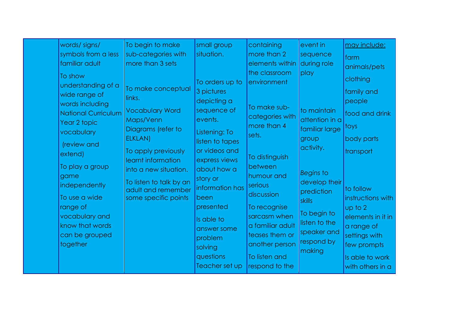| words/signs/<br>symbols from a less<br>familiar adult                                                                                                                                                                                                                                               | To begin to make<br>sub-categories with<br>more than 3 sets                                                                                                                                                                                         | small group<br>situation.                                                                                                                                                                                                                                                                         | containing<br>more than 2<br>elements within                                                                                                                                                                                                                                           | event in<br>sequence<br>during role                                                                                                                                                                                      | <u>may include:</u><br>farm<br>animals/pets                                                                                                                                                                                                  |
|-----------------------------------------------------------------------------------------------------------------------------------------------------------------------------------------------------------------------------------------------------------------------------------------------------|-----------------------------------------------------------------------------------------------------------------------------------------------------------------------------------------------------------------------------------------------------|---------------------------------------------------------------------------------------------------------------------------------------------------------------------------------------------------------------------------------------------------------------------------------------------------|----------------------------------------------------------------------------------------------------------------------------------------------------------------------------------------------------------------------------------------------------------------------------------------|--------------------------------------------------------------------------------------------------------------------------------------------------------------------------------------------------------------------------|----------------------------------------------------------------------------------------------------------------------------------------------------------------------------------------------------------------------------------------------|
| To show<br>understanding of a<br>wide range of<br>words including<br><b>National Curriculum</b><br>Year 2 topic<br>vocabulary<br>(review and<br>extend)<br>To play a group<br>game<br>independently<br>To use a wide<br>range of<br>vocabulary and<br>know that words<br>can be grouped<br>together | To make conceptual<br>links.<br><b>Vocabulary Word</b><br>Maps/Venn<br>Diagrams (refer to<br>ELKLAN)<br>To apply previously<br>learnt information<br>into a new situation.<br>To listen to talk by an<br>adult and remember<br>some specific points | To orders up to<br>3 pictures<br>depicting a<br>sequence of<br>events.<br>Listening: To<br>listen to tapes<br>or videos and<br>express views<br>about how a<br>story or<br>information has<br>been<br>presented<br>Is able to<br>answer some<br>problem<br>solving<br>questions<br>Teacher set up | the classroom<br>environment<br>To make sub-<br>categories with<br>more than 4<br>sets.<br>To distinguish<br>between<br>humour and<br>serious<br>discussion<br>To recognise<br>sarcasm when<br>a familiar adult<br>teases them or<br>another person<br>To listen and<br>respond to the | play<br>to maintain<br>attention in a<br>familiar large<br>group<br>activity.<br><b>Begins to</b><br>develop their<br>prediction<br><b>skills</b><br>To begin to<br>listen to the<br>speaker and<br>respond by<br>making | clothing<br>family and<br>people<br>food and drink<br>toys<br>body parts<br>transport<br>to follow<br>instructions with<br>up to 2<br>elements in it in<br>a range of<br>settings with<br>few prompts<br>Is able to work<br>with others in a |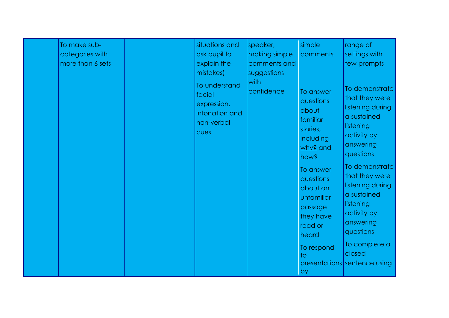| To make sub-<br>categories with<br>more than 6 sets | situations and<br>ask pupil to<br>explain the<br>mistakes)<br>To understand | speaker,<br>making simple<br>comments and<br>suggestions<br>with | simple<br>comments                                                                           | range of<br>settings with<br>few prompts                                                                                  |
|-----------------------------------------------------|-----------------------------------------------------------------------------|------------------------------------------------------------------|----------------------------------------------------------------------------------------------|---------------------------------------------------------------------------------------------------------------------------|
|                                                     | facial<br>expression,<br>intonation and<br>non-verbal<br>cues               | confidence                                                       | To answer<br>questions<br>about<br>familiar<br>stories,<br>including<br>why? and<br>pows     | To demonstrate<br>that they were<br>listening during<br>a sustained<br>listening<br>activity by<br>answering<br>questions |
|                                                     |                                                                             |                                                                  | To answer<br>questions<br>about an<br>unfamiliar<br>passage<br>they have<br>read or<br>heard | To demonstrate<br>that they were<br>listening during<br>a sustained<br>listening<br>activity by<br>answering<br>questions |
|                                                     |                                                                             |                                                                  | To respond<br>$\overline{1}$<br>by                                                           | To complete a<br>closed<br>presentations sentence using                                                                   |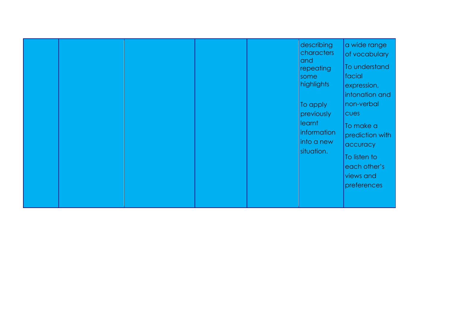|  |  |  |  |  | describing<br>characters<br> and<br>repeating<br>some<br>highlights<br>To apply<br>previously<br>learnt<br>information<br>into a new<br>situation. | a wide range<br>of vocabulary<br>To understand<br>facial<br>expression,<br>intonation and<br>non-verbal<br><b>CUPS</b><br>To make a<br>prediction with<br>accuracy<br>To listen to<br>each other's<br>views and<br>preferences |
|--|--|--|--|--|----------------------------------------------------------------------------------------------------------------------------------------------------|--------------------------------------------------------------------------------------------------------------------------------------------------------------------------------------------------------------------------------|
|--|--|--|--|--|----------------------------------------------------------------------------------------------------------------------------------------------------|--------------------------------------------------------------------------------------------------------------------------------------------------------------------------------------------------------------------------------|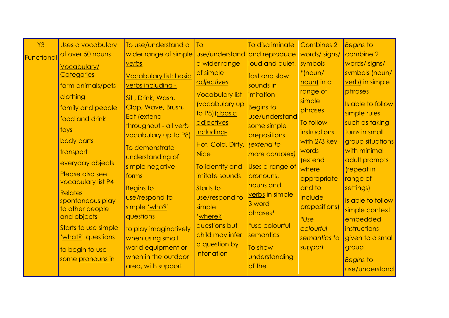| Y <sub>3</sub> | Uses a vocabulary              | To use/understand a                       | To                           | To discriminate         | <b>Combines 2</b> | <b>Begins to</b>  |
|----------------|--------------------------------|-------------------------------------------|------------------------------|-------------------------|-------------------|-------------------|
| Functional     | of over 50 nouns               | wider range of simple                     | use/understand and reproduce |                         | words/signs/      | combine 2         |
|                | <b>Vocabulary/</b>             | verbs                                     | a wider range                | loud and quiet,         | symbols           | words/signs/      |
|                | <b>Categories</b>              | <b>Vocabulary list: basic</b>             | of simple                    | fast and slow           | *Inoun/           | symbols (noun/    |
|                | farm animals/pets              | verbs including -                         | adjectives                   | sounds in               | noun) in a        | verb) in simple   |
|                | clothing                       | Sit, Drink, Wash,                         | <b>Vocabulary list</b>       | imitation               | range of          | phrases           |
|                | family and people              | Clap, Wave, Brush,                        | <b>(vocabulary up</b>        | <b>Begins to</b>        | simple            | Is able to follow |
|                |                                | Eat (extend                               | to P8)): basic               | use/understand          | phrases           | simple rules      |
|                | food and drink                 | throughout - all verb                     | adjectives                   | some simple             | To follow         | such as taking    |
|                | toys                           | vocabulary up to P8)                      | including-                   | prepositions            | instructions      | turns in small    |
|                | body parts                     | To demonstrate                            | Hot, Cold, Dirty,            | (extend to              | with 2/3 key      | group situations  |
|                | transport                      | understanding of                          | <b>Nice</b>                  | more complex)           | words             | with minimal      |
|                | everyday objects               | simple negative                           | To identify and              | Uses a range of         | (extend           | adult prompts     |
|                | Please also see                | forms                                     | imitate sounds               | pronouns,               | where             | (repeat in        |
|                | vocabulary list P4             |                                           |                              | nouns and               | appropriate       | range of          |
|                | <b>Relates</b>                 | <b>Begins to</b>                          | Starts to                    | verbs in simple         | and to<br>include | settings)         |
|                | spontaneous play               | use/respond to                            | use/respond to<br>simple     | 3 word                  | prepositions)     | Is able to follow |
|                | to other people<br>and objects | simple 'who?'<br>questions                | 'where?'                     | phrases*                |                   | simple context    |
|                |                                |                                           | questions but                | *use colourful          | *Use              | embedded          |
|                | Starts to use simple           | to play imaginatively                     | child may infer              | semantics               | colourful         | instructions      |
|                | 'what?' questions              | when using small                          | a question by                |                         | semantics to      | given to a small  |
|                | to begin to use                | world equipment or<br>when in the outdoor | intonation                   | To show                 | support           | group             |
|                | some pronouns in               |                                           |                              | understanding<br>of the |                   | <b>Begins to</b>  |
|                |                                | area, with support                        |                              |                         |                   | use/understand    |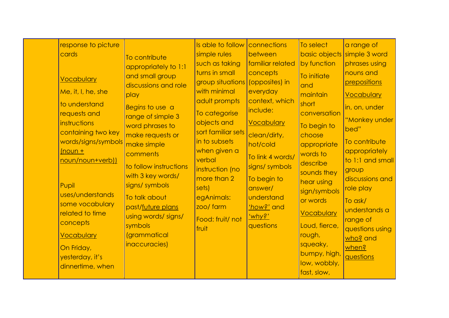|  | response to picture<br>cards<br><b>Vocabulary</b><br>Me, it, I, he, she<br>to understand<br>requests and<br>instructions<br>containing two key<br>words/signs/symbols<br>$($ <sub>n</sub> oun +<br>noun/noun+verb))<br>Pupil<br>uses/understands<br>some vocabulary<br>related to time<br>concepts<br><b>Vocabulary</b><br>On Friday,<br>yesterday, it's<br>dinnertime, when | To contribute<br>appropriately to 1:1<br>and small group<br>discussions and role<br>play<br>Begins to use a<br>range of simple 3<br>word phrases to<br>make requests or<br>make simple<br>comments<br>to follow instructions<br>with 3 key words/<br>signs/symbols<br>To talk about<br>past/future plans<br>using words/ signs/<br>symbols<br><i>(grammatical</i><br>inaccuracies) | Is able to follow<br>simple rules<br>such as taking<br>turns in small<br>group situations (opposites) in<br>with minimal<br>adult prompts<br>To categorise<br>objects and<br>sort familiar sets<br>in to subsets<br>when given a<br>verbal<br>instruction (no<br>more than 2<br>sets)<br>egAnimals:<br>zoo/ farm<br>Food: fruit/ not<br>fruit | connections<br>between<br>familiar related<br>concepts<br>everyday<br>context, which<br>include:<br><b>Vocabulary</b><br>clean/dirty,<br>hot/cold<br>To link 4 words/<br>signs/ symbols<br>To begin to<br>answer/<br>understand<br>'how?' and<br>'why?'<br>questions | To select<br>by function<br>To initiate<br>and<br>maintain<br>short<br>conversation<br>To begin to<br>choose<br>appropriate<br>words to<br>describe<br>sounds they<br>hear using<br>sign/symbols<br>or words<br><b>Vocabulary</b><br>Loud, fierce,<br>rough,<br>squeaky,<br>bumpy, high,<br>low, wobbly,<br>fast, slow, | a range of<br>basic objects simple 3 word<br>phrases using<br>nouns and<br>prepositions<br><b>Vocabulary</b><br>in, on, under<br>"Monkey under<br>bed"<br>To contribute<br>appropriately<br>to 1:1 and small<br>group<br>discussions and<br>role play<br>To ask/<br>understands a<br>range of<br>questions using<br>who? and<br>when?<br>questions |
|--|------------------------------------------------------------------------------------------------------------------------------------------------------------------------------------------------------------------------------------------------------------------------------------------------------------------------------------------------------------------------------|------------------------------------------------------------------------------------------------------------------------------------------------------------------------------------------------------------------------------------------------------------------------------------------------------------------------------------------------------------------------------------|-----------------------------------------------------------------------------------------------------------------------------------------------------------------------------------------------------------------------------------------------------------------------------------------------------------------------------------------------|----------------------------------------------------------------------------------------------------------------------------------------------------------------------------------------------------------------------------------------------------------------------|-------------------------------------------------------------------------------------------------------------------------------------------------------------------------------------------------------------------------------------------------------------------------------------------------------------------------|----------------------------------------------------------------------------------------------------------------------------------------------------------------------------------------------------------------------------------------------------------------------------------------------------------------------------------------------------|
|--|------------------------------------------------------------------------------------------------------------------------------------------------------------------------------------------------------------------------------------------------------------------------------------------------------------------------------------------------------------------------------|------------------------------------------------------------------------------------------------------------------------------------------------------------------------------------------------------------------------------------------------------------------------------------------------------------------------------------------------------------------------------------|-----------------------------------------------------------------------------------------------------------------------------------------------------------------------------------------------------------------------------------------------------------------------------------------------------------------------------------------------|----------------------------------------------------------------------------------------------------------------------------------------------------------------------------------------------------------------------------------------------------------------------|-------------------------------------------------------------------------------------------------------------------------------------------------------------------------------------------------------------------------------------------------------------------------------------------------------------------------|----------------------------------------------------------------------------------------------------------------------------------------------------------------------------------------------------------------------------------------------------------------------------------------------------------------------------------------------------|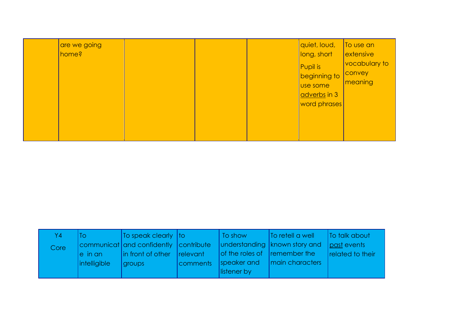| are we going<br>home? |  |  |  | quiet, loud,<br>long, short<br><b>Pupil is</b><br>beginning to<br>Use some<br>adverbs in 3<br>word phrases | To use an<br>extensive<br>vocabulary to<br><b>CONVEY</b><br>meaning |
|-----------------------|--|--|--|------------------------------------------------------------------------------------------------------------|---------------------------------------------------------------------|
|-----------------------|--|--|--|------------------------------------------------------------------------------------------------------------|---------------------------------------------------------------------|

| Y4   | ΙO                                 | To speak clearly $ $ to               |                                | To show                      | <b>To retell a well</b>                       | To talk about    |
|------|------------------------------------|---------------------------------------|--------------------------------|------------------------------|-----------------------------------------------|------------------|
| Core |                                    | communicat and confidently contribute |                                |                              | understanding   known story and   past events |                  |
|      | $e$ in an $\overline{\phantom{a}}$ | in front of other                     | <i><u><b>Irelevant</b></u></i> | of the roles of remember the |                                               | related to their |
|      | <i>intelligible</i>                | groups                                | comments                       | speaker and                  | I main characters                             |                  |
|      |                                    |                                       |                                | listener by                  |                                               |                  |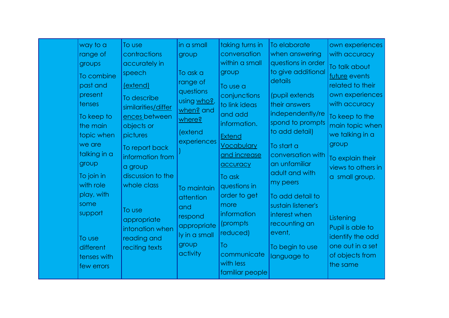| way to a     | To use              | in a small    | taking turns in   | To elaborate       | own experiences    |
|--------------|---------------------|---------------|-------------------|--------------------|--------------------|
| range of     | contractions        | group         | conversation      | when answering     | with accuracy      |
| groups       | accurately in       |               | within a small    | questions in order | To talk about      |
| To combine   | speech              | To ask a      | group             | to give additional | future events      |
| past and     | (extend)            | range of      |                   | details            | related to their   |
| present      |                     | questions     | To use a          |                    |                    |
|              | To describe         | using who?,   | conjunctions      | (pupil extends     | own experiences    |
| tenses       | similarities/differ | when? and     | to link ideas     | their answers      | with accuracy      |
| To keep to   | ences between       | where?        | and add           | independently/re   | To keep to the     |
| the main     | objects or          |               | information.      | spond to prompts   | main topic when    |
| topic when   | pictures            | (extend       | <b>Extend</b>     | to add detail)     | we talking in a    |
| we are       | To report back      | experiences   | <b>Vocabulary</b> | To start a         | group              |
| talking in a | information from    |               | and increase      | conversation with  |                    |
| group        |                     |               | accuracy          | an unfamiliar      | To explain their   |
|              | a group             |               |                   | adult and with     | views to others in |
| To join in   | discussion to the   |               | To ask            | my peers           | a small group,     |
| with role    | whole class         | To maintain   | questions in      |                    |                    |
| play, with   |                     | attention     | order to get      | To add detail to   |                    |
| some         | To use              | and           | more              | sustain listener's |                    |
| support      |                     | respond       | information       | interest when      | Listening          |
|              | appropriate         | appropriate   | (prompts)         | recounting an      | Pupil is able to   |
|              | intonation when     | ly in a small | reduced)          | event,             |                    |
| To use       | reading and         | group         | To                |                    | identify the odd   |
| different    | reciting texts      | activity      |                   | To begin to use    | one out in a set   |
| tenses with  |                     |               | communicate       | language to        | of objects from    |
| few errors   |                     |               | with less         |                    | the same           |
|              |                     |               | familiar people   |                    |                    |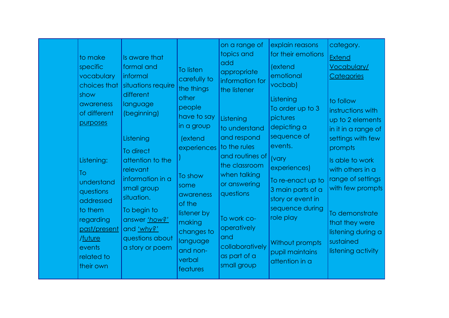| to make<br>specific<br>vocabulary<br>choices that<br>show<br>awareness<br>of different<br>purposes                                                      | Is aware that<br>formal and<br>informal<br>situations require<br>different<br>language<br>(beginning)                                                                                       | To listen<br>carefully to<br>the things<br>other<br>people<br>have to say<br>in a group                                                               | on a range of<br>topics and<br>add<br>appropriate<br>information for<br>the listener<br>Listening<br>to understand                                                                                  | explain reasons<br>for their emotions<br>(extend<br>emotional<br>vocbab)<br>Listening<br>To order up to 3<br>pictures<br>depicting a                                                                   | category.<br><b>Extend</b><br><b>Vocabulary/</b><br><b>Categories</b><br>to follow<br>instructions with<br>up to 2 elements<br>in it in a range of                                                        |
|---------------------------------------------------------------------------------------------------------------------------------------------------------|---------------------------------------------------------------------------------------------------------------------------------------------------------------------------------------------|-------------------------------------------------------------------------------------------------------------------------------------------------------|-----------------------------------------------------------------------------------------------------------------------------------------------------------------------------------------------------|--------------------------------------------------------------------------------------------------------------------------------------------------------------------------------------------------------|-----------------------------------------------------------------------------------------------------------------------------------------------------------------------------------------------------------|
| Listening:<br><b>To</b><br>understand<br>questions<br>addressed<br>to them<br>regarding<br>past/present<br>/future<br>events<br>related to<br>their own | Listening<br>To direct<br>attention to the<br>relevant<br>information in a<br>small group<br>situation.<br>To begin to<br>answer 'how?'<br>and 'why?'<br>questions about<br>a story or poem | (extend<br>experiences<br>To show<br>some<br>awareness<br>of the<br>listener by<br>making<br>changes to<br>language<br>and non-<br>verbal<br>features | and respond<br>to the rules<br>and routines of<br>the classroom<br>when talking<br>or answering<br>questions<br>To work co-<br>operatively<br>and<br>collaboratively<br>as part of a<br>small group | sequence of<br>events.<br>(vary<br>experiences)<br>To re-enact up to<br>3 main parts of a<br>story or event in<br>sequence during<br>role play<br>Without prompts<br>pupil maintains<br>attention in a | settings with few<br>prompts<br>Is able to work<br>with others in a<br>range of settings<br>with few prompts<br>To demonstrate<br>that they were<br>listening during a<br>sustained<br>listening activity |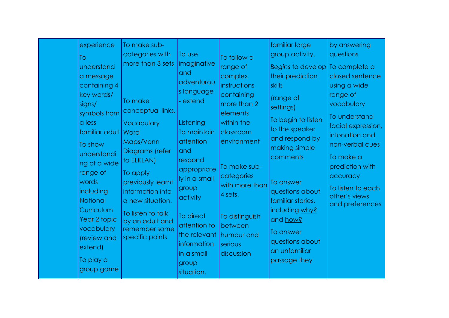|  | experience<br>To<br>understand<br>a message<br>containing 4<br>key words/<br>signs/<br>symbols from<br>a less<br>familiar adult Word<br>To show<br>understandi<br>ng of a wide<br>range of<br>words<br>including<br>National<br>Curriculum<br>Year 2 topic<br>vocabulary<br>(review and<br>extend)<br>To play a<br>group game | To make sub-<br>categories with<br>more than 3 sets<br>To make<br>conceptual links.<br>Vocabulary<br>Maps/Venn<br>Diagrams (refer<br>to ELKLAN)<br>To apply<br>previously learnt<br>information into<br>a new situation.<br>To listen to talk<br>by an adult and<br>remember some<br>specific points | To use<br>imaginative<br>and<br>adventurou<br>s language<br>- extend<br>Listening<br>To maintain<br>attention<br>and<br>respond<br>appropriate<br>ly in a small<br>group<br>activity<br>To direct<br>attention to<br>the relevant<br>information<br>in a small<br>group<br>situation. | To follow a<br>range of<br>complex<br>instructions<br>containing<br>more than 2<br>elements<br>within the<br>classroom<br>environment<br>To make sub-<br>categories<br>with more than<br>4 sets.<br>To distinguish<br>between<br>humour and<br>serious<br>discussion | familiar large<br>group activity.<br>Begins to develop To complete a<br>their prediction<br>skills<br>(range of<br>settings)<br>To begin to listen<br>to the speaker<br>and respond by<br>making simple<br>comments<br>To answer<br>questions about<br>familiar stories,<br>including why?<br>and how?<br>To answer<br>questions about<br>an unfamiliar<br>passage they | by answering<br>questions<br>closed sentence<br>using a wide<br>range of<br>vocabulary<br>To understand<br>facial expression,<br>intonation and<br>non-verbal cues<br>To make a<br>prediction with<br>accuracy<br>To listen to each<br>other's views<br>and preferences |
|--|-------------------------------------------------------------------------------------------------------------------------------------------------------------------------------------------------------------------------------------------------------------------------------------------------------------------------------|------------------------------------------------------------------------------------------------------------------------------------------------------------------------------------------------------------------------------------------------------------------------------------------------------|---------------------------------------------------------------------------------------------------------------------------------------------------------------------------------------------------------------------------------------------------------------------------------------|----------------------------------------------------------------------------------------------------------------------------------------------------------------------------------------------------------------------------------------------------------------------|-------------------------------------------------------------------------------------------------------------------------------------------------------------------------------------------------------------------------------------------------------------------------------------------------------------------------------------------------------------------------|-------------------------------------------------------------------------------------------------------------------------------------------------------------------------------------------------------------------------------------------------------------------------|
|--|-------------------------------------------------------------------------------------------------------------------------------------------------------------------------------------------------------------------------------------------------------------------------------------------------------------------------------|------------------------------------------------------------------------------------------------------------------------------------------------------------------------------------------------------------------------------------------------------------------------------------------------------|---------------------------------------------------------------------------------------------------------------------------------------------------------------------------------------------------------------------------------------------------------------------------------------|----------------------------------------------------------------------------------------------------------------------------------------------------------------------------------------------------------------------------------------------------------------------|-------------------------------------------------------------------------------------------------------------------------------------------------------------------------------------------------------------------------------------------------------------------------------------------------------------------------------------------------------------------------|-------------------------------------------------------------------------------------------------------------------------------------------------------------------------------------------------------------------------------------------------------------------------|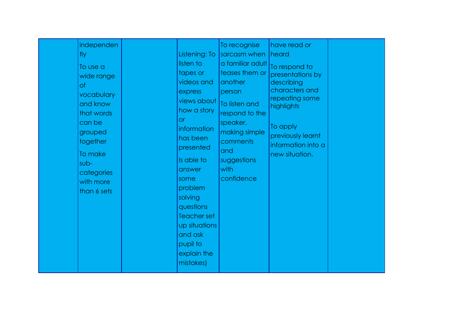|  | independen<br><b>tly</b><br>To use a<br>wide range<br>of<br>vocabulary<br>and know<br>that words<br>can be<br>grouped<br>together<br>To make<br>sub-<br>categories<br>with more<br>than 6 sets |  | Listening: To<br>listen to<br>tapes or<br>videos and<br>express<br>views about<br>how a story<br>or<br>information<br>has been<br>presented<br>Is able to<br>answer<br>some<br>problem<br>solving<br>questions<br><b>Teacher set</b><br>up situations<br>and ask<br>pupil to<br>explain the<br>mistakes) | To recognise<br>sarcasm when<br>a familiar adult<br>teases them or<br>another<br>person<br>To listen and<br>respond to the<br>speaker,<br>making simple<br>comments<br>and<br>suggestions<br>with<br>confidence | have read or<br>heard<br>To respond to<br>presentations by<br>describing<br>characters and<br>repeating some<br>highlights<br>To apply<br>previously learnt<br>information into a<br>new situation. |  |
|--|------------------------------------------------------------------------------------------------------------------------------------------------------------------------------------------------|--|----------------------------------------------------------------------------------------------------------------------------------------------------------------------------------------------------------------------------------------------------------------------------------------------------------|-----------------------------------------------------------------------------------------------------------------------------------------------------------------------------------------------------------------|-----------------------------------------------------------------------------------------------------------------------------------------------------------------------------------------------------|--|
|--|------------------------------------------------------------------------------------------------------------------------------------------------------------------------------------------------|--|----------------------------------------------------------------------------------------------------------------------------------------------------------------------------------------------------------------------------------------------------------------------------------------------------------|-----------------------------------------------------------------------------------------------------------------------------------------------------------------------------------------------------------------|-----------------------------------------------------------------------------------------------------------------------------------------------------------------------------------------------------|--|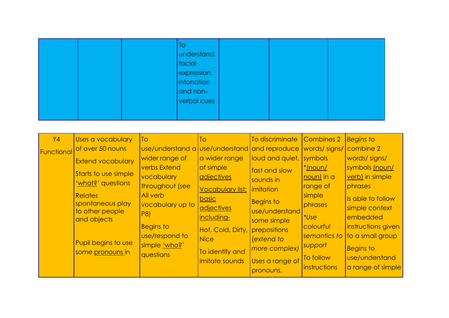| To<br>understand<br>  facial<br>expression,<br>intonation<br>and non-<br>verbal cues |  |
|--------------------------------------------------------------------------------------|--|
|--------------------------------------------------------------------------------------|--|

| <b>Y4</b><br>Functional | Uses a vocabulary<br>of over 50 nouns<br>Extend vocabulary<br>Starts to use simple<br>'what?' questions<br><b>Relates</b><br>spontaneous play<br>to other people<br>and objects<br>Pupil begins to use<br>some pronouns in | <b>To</b><br>use/understand a use/understand and reproduce<br>wider range of<br>verbs Extend<br>vocabulary<br>throughout (see<br>All verb<br>vocabulary up to<br>P8<br><b>Begins to</b><br>use/respond to<br>simple 'who?'<br>questions | To<br>a wider range<br>of simple<br>adjectives<br><b>Vocabulary list:</b><br>basic<br>adjectives<br>including-<br>Hot, Cold, Dirty,<br><b>Nice</b><br>To identify and<br>imitate sounds | To discriminate<br>loud and quiet, symbols<br>fast and slow<br>sounds in<br>imitation<br><b>Begins to</b><br>use/understand<br>some simple<br>prepositions<br>lextend to<br>more complex)<br>Uses a range of<br>pronouns, | <b>Combines 2</b><br>words/signs/<br><u>*(noun/</u><br>noun) in a<br>range of<br>simple<br>phrases<br><i>*Use</i><br>colourful<br>semantics to<br>support<br>To follow<br>instructions | <b>Begins to</b><br><b>Combine 2</b><br>words/signs/<br>symbols (noun/<br>verb) in simple<br>phrases<br>Is able to follow<br>simple context<br>embedded<br>instructions given<br>to a small group<br><b>Begins to</b><br>use/understand<br>a range of simple |
|-------------------------|----------------------------------------------------------------------------------------------------------------------------------------------------------------------------------------------------------------------------|-----------------------------------------------------------------------------------------------------------------------------------------------------------------------------------------------------------------------------------------|-----------------------------------------------------------------------------------------------------------------------------------------------------------------------------------------|---------------------------------------------------------------------------------------------------------------------------------------------------------------------------------------------------------------------------|----------------------------------------------------------------------------------------------------------------------------------------------------------------------------------------|--------------------------------------------------------------------------------------------------------------------------------------------------------------------------------------------------------------------------------------------------------------|
|-------------------------|----------------------------------------------------------------------------------------------------------------------------------------------------------------------------------------------------------------------------|-----------------------------------------------------------------------------------------------------------------------------------------------------------------------------------------------------------------------------------------|-----------------------------------------------------------------------------------------------------------------------------------------------------------------------------------------|---------------------------------------------------------------------------------------------------------------------------------------------------------------------------------------------------------------------------|----------------------------------------------------------------------------------------------------------------------------------------------------------------------------------------|--------------------------------------------------------------------------------------------------------------------------------------------------------------------------------------------------------------------------------------------------------------|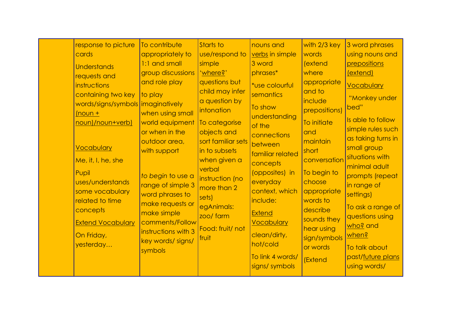|  | response to picture<br>cards<br><b>Understands</b><br>requests and<br>instructions<br>containing two key<br>words/signs/symbols imaginatively<br>$(noun +$<br>noun)/noun+verb)<br><b>Vocabulary</b><br>Me, it, I, he, she<br>Pupil<br>uses/understands<br>some vocabulary<br>related to time<br>concepts<br><b>Extend Vocabulary</b><br>On Friday,<br>yesterday | To contribute<br>appropriately to<br>1:1 and small<br>group discussions<br>and role play<br>to play<br>when using small<br>world equipment<br>or when in the<br>outdoor area,<br>with support<br>to begin to use a<br>range of simple 3<br>word phrases to<br>make requests or<br>make simple<br>comments/Follow<br>instructions with 3<br>key words/ signs/<br>symbols | Starts to<br>use/respond to<br>simple<br>' <u>where?</u> '<br>questions but<br>child may infer<br>a question by<br>intonation<br>To categorise<br>objects and<br>sort familiar sets<br>in to subsets<br>when given a<br>verbal<br>instruction (no<br>more than 2<br>sets)<br>egAnimals:<br>zoo/ farm<br>Food: fruit/ not<br>fruit | nouns and<br>verbs in simple<br>3 word<br>phrases*<br>*use colourful<br>semantics<br>To show<br>understanding<br>of the<br>connections<br>between<br>familiar related<br>concepts<br>(opposites) in<br>everyday<br>context, which<br>include:<br><b>Extend</b><br><b>Vocabulary</b><br>clean/dirty,<br>hot/cold<br>To link 4 words/<br>signs/ symbols | with 2/3 key<br>words<br>(extend<br>where<br>appropriate<br>and to<br>include<br>prepositions)<br>To initiate<br>and<br>maintain<br>short<br>conversation<br>To begin to<br>choose<br>appropriate<br>words to<br>describe<br>sounds they<br>hear using<br>sign/symbols<br>or words<br>(Extend | 3 word phrases<br>using nouns and<br>prepositions<br>(extend)<br>Vocabulary<br>"Monkey under<br>bed"<br>Is able to follow<br>simple rules such<br>as taking turns in<br>small group<br>situations with<br>minimal adult<br>prompts (repeat<br>in range of<br>settings)<br>To ask a range of<br>questions using<br>who? and<br><u>when?</u><br>To talk about<br>past/future plans<br>using words/ |
|--|-----------------------------------------------------------------------------------------------------------------------------------------------------------------------------------------------------------------------------------------------------------------------------------------------------------------------------------------------------------------|-------------------------------------------------------------------------------------------------------------------------------------------------------------------------------------------------------------------------------------------------------------------------------------------------------------------------------------------------------------------------|-----------------------------------------------------------------------------------------------------------------------------------------------------------------------------------------------------------------------------------------------------------------------------------------------------------------------------------|-------------------------------------------------------------------------------------------------------------------------------------------------------------------------------------------------------------------------------------------------------------------------------------------------------------------------------------------------------|-----------------------------------------------------------------------------------------------------------------------------------------------------------------------------------------------------------------------------------------------------------------------------------------------|--------------------------------------------------------------------------------------------------------------------------------------------------------------------------------------------------------------------------------------------------------------------------------------------------------------------------------------------------------------------------------------------------|
|--|-----------------------------------------------------------------------------------------------------------------------------------------------------------------------------------------------------------------------------------------------------------------------------------------------------------------------------------------------------------------|-------------------------------------------------------------------------------------------------------------------------------------------------------------------------------------------------------------------------------------------------------------------------------------------------------------------------------------------------------------------------|-----------------------------------------------------------------------------------------------------------------------------------------------------------------------------------------------------------------------------------------------------------------------------------------------------------------------------------|-------------------------------------------------------------------------------------------------------------------------------------------------------------------------------------------------------------------------------------------------------------------------------------------------------------------------------------------------------|-----------------------------------------------------------------------------------------------------------------------------------------------------------------------------------------------------------------------------------------------------------------------------------------------|--------------------------------------------------------------------------------------------------------------------------------------------------------------------------------------------------------------------------------------------------------------------------------------------------------------------------------------------------------------------------------------------------|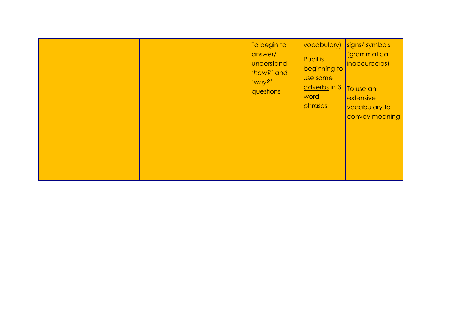|  |  |  |  | To begin to<br>answer/<br>understand<br>thow?' and<br>'why?'<br>questions | vocabulary)<br>Pupil is<br>beginning to<br>use some<br>adverbs in 3<br>word<br>phrases | signs/ symbols<br><i>(grammatical</i><br>inaccuracies)<br>To use an<br>extensive<br>vocabulary to<br>convey meaning |
|--|--|--|--|---------------------------------------------------------------------------|----------------------------------------------------------------------------------------|---------------------------------------------------------------------------------------------------------------------|
|--|--|--|--|---------------------------------------------------------------------------|----------------------------------------------------------------------------------------|---------------------------------------------------------------------------------------------------------------------|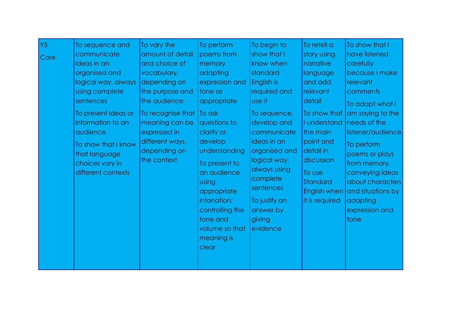| Y5 <br>To sequence and<br>communicate<br>Core<br>ideas in an<br>organised and<br>logical way, always<br>using complete<br>sentences<br>To present ideas or<br>information to an<br>audience<br>To show that I know<br>that language<br>choices vary in<br>different contexts | To vary the<br>amount of detail<br>and choice of<br>vocabulary,<br>depending on<br>the purpose and<br>the audience<br>To recognise that<br>meaning can be<br>expressed in<br>different ways,<br>depending on<br>the context | To perform<br>poems from<br>memory<br>adapting<br>expression and<br>tone as<br>appropriate<br>To ask<br>questions to<br>clarify or<br>develop<br>understanding<br>To present to<br>an audience<br>using<br>appropriate<br>intonation;<br>controlling the<br>tone and<br>volume so that<br>meaning is<br>clear | To begin to<br>show that I<br>know when<br>standard<br>English is<br>required and<br>use it<br>To sequence,<br>develop and<br>communicate<br>ideas in an<br>organised and<br>logical way,<br>always using<br>complete<br>sentences<br>To justify an<br>answer by<br>giving<br>evidence | To retell a<br>story using<br>narrative<br>language<br>and add<br>relevant<br>detail<br>To show that<br>I understand<br>the main<br>point and<br>detail in<br>discussion<br>To use<br>Standard<br>English when<br>it is required | To show that I<br>have listened<br>carefully<br>because I make<br>relevant<br>comments<br>To adapt what I<br>am saying to the<br>needs of the<br>listener/audience<br>To perform<br>poems or plays<br>from memory,<br>conveying ideas<br>about characters<br>and situations by<br>adapting<br>expression and<br>tone |
|------------------------------------------------------------------------------------------------------------------------------------------------------------------------------------------------------------------------------------------------------------------------------|-----------------------------------------------------------------------------------------------------------------------------------------------------------------------------------------------------------------------------|---------------------------------------------------------------------------------------------------------------------------------------------------------------------------------------------------------------------------------------------------------------------------------------------------------------|----------------------------------------------------------------------------------------------------------------------------------------------------------------------------------------------------------------------------------------------------------------------------------------|----------------------------------------------------------------------------------------------------------------------------------------------------------------------------------------------------------------------------------|----------------------------------------------------------------------------------------------------------------------------------------------------------------------------------------------------------------------------------------------------------------------------------------------------------------------|
|------------------------------------------------------------------------------------------------------------------------------------------------------------------------------------------------------------------------------------------------------------------------------|-----------------------------------------------------------------------------------------------------------------------------------------------------------------------------------------------------------------------------|---------------------------------------------------------------------------------------------------------------------------------------------------------------------------------------------------------------------------------------------------------------------------------------------------------------|----------------------------------------------------------------------------------------------------------------------------------------------------------------------------------------------------------------------------------------------------------------------------------------|----------------------------------------------------------------------------------------------------------------------------------------------------------------------------------------------------------------------------------|----------------------------------------------------------------------------------------------------------------------------------------------------------------------------------------------------------------------------------------------------------------------------------------------------------------------|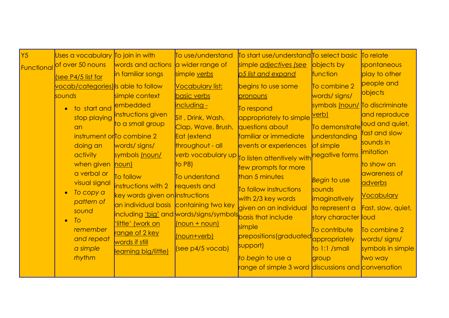| Y <sub>5</sub><br>Functional | Uses a vocabulary To join in with<br>of over 50 nouns<br>(see P4/5 list for<br>vocab/categories) is able to follow<br>sounds<br>to start and<br>stop playing<br>an<br>doing an<br>activity<br>when given<br>a verbal or<br>visual signal<br>To copy a<br>$\bullet$<br>pattern of<br>sound<br>To<br>$\bullet$<br>remember<br>and repeat<br>a simple<br>rhythm | words and actions<br>in familiar songs<br>simple context<br>embedded<br>instructions given<br>to a small group<br>instrument or To combine 2<br>words/signs/<br>symbols (noun/<br>$ $ noun $ $<br>To follow<br>instructions with 2<br>key words given on instructions<br>'little' (work on<br>range of 2 key<br>words if still<br>learning big/little) | To use/understand<br>a wider range of<br>simple verbs<br><b>Vocabulary list:</b><br>basic verbs<br>including -<br>Sit, Drink, Wash,<br>Clap, Wave, Brush,<br>Eat (extend<br>throughout - all<br>to $P8$ )<br>To understand<br>requests and<br>an individual basis containing two key<br>including 'big' and words/signs/symbols basis that include<br>(noun + noun)<br>(noun+verb)<br>[see p4/5 vocab] | To start use/understand To select basic<br>simple adjectives (see<br>p5 list and expand<br>begins to use some<br>pronouns<br>To respond<br>appropriately to simple verb)<br><i><u><b>questions about</b></u></i><br>familiar or immediate<br>events or experiences<br>verb vocabulary up <sub>To listen attentively with</sub> negative forms<br>few prompts for more<br>than 5 minutes<br>To follow instructions<br>with 2/3 key words<br>given on an individual<br>simple<br>prepositions (graduated<br>support)<br>to begin to use a<br>range of simple 3 word discussions and conversation | objects by<br>function<br>To combine 2<br>words/signs/<br>symbols (noun/ To discriminate<br>To demonstrate<br>understanding<br>of simple<br>Begin to use<br>sounds<br><i>imaginatively</i><br>to represent a<br>story character loud<br>To contribute<br>appropriately<br>$ $ to 1:1 /small<br>group | To relate<br>spontaneous<br>play to other<br>people and<br>objects<br>and reproduce<br>loud and quiet,<br>fast and slow<br>sounds in<br><i>imitation</i><br>to show an<br>awareness of<br>adverbs<br><b>Vocabulary</b><br>Fast, slow, quiet,<br>To combine 2<br>words/signs/<br>symbols in simple<br>two way |
|------------------------------|--------------------------------------------------------------------------------------------------------------------------------------------------------------------------------------------------------------------------------------------------------------------------------------------------------------------------------------------------------------|--------------------------------------------------------------------------------------------------------------------------------------------------------------------------------------------------------------------------------------------------------------------------------------------------------------------------------------------------------|--------------------------------------------------------------------------------------------------------------------------------------------------------------------------------------------------------------------------------------------------------------------------------------------------------------------------------------------------------------------------------------------------------|------------------------------------------------------------------------------------------------------------------------------------------------------------------------------------------------------------------------------------------------------------------------------------------------------------------------------------------------------------------------------------------------------------------------------------------------------------------------------------------------------------------------------------------------------------------------------------------------|------------------------------------------------------------------------------------------------------------------------------------------------------------------------------------------------------------------------------------------------------------------------------------------------------|--------------------------------------------------------------------------------------------------------------------------------------------------------------------------------------------------------------------------------------------------------------------------------------------------------------|
|------------------------------|--------------------------------------------------------------------------------------------------------------------------------------------------------------------------------------------------------------------------------------------------------------------------------------------------------------------------------------------------------------|--------------------------------------------------------------------------------------------------------------------------------------------------------------------------------------------------------------------------------------------------------------------------------------------------------------------------------------------------------|--------------------------------------------------------------------------------------------------------------------------------------------------------------------------------------------------------------------------------------------------------------------------------------------------------------------------------------------------------------------------------------------------------|------------------------------------------------------------------------------------------------------------------------------------------------------------------------------------------------------------------------------------------------------------------------------------------------------------------------------------------------------------------------------------------------------------------------------------------------------------------------------------------------------------------------------------------------------------------------------------------------|------------------------------------------------------------------------------------------------------------------------------------------------------------------------------------------------------------------------------------------------------------------------------------------------------|--------------------------------------------------------------------------------------------------------------------------------------------------------------------------------------------------------------------------------------------------------------------------------------------------------------|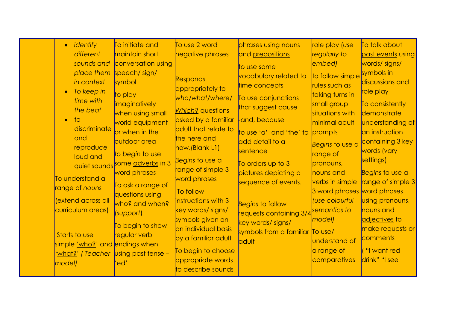| · identify                                                                                                                                                                                         | To initiate and                                                                                                                                                                                                                                                               | To use 2 word                                                                                                                                                                                                                                           | phrases using nouns                                                                                                                                                                                                                                   | role play (use                                                                                                                                                                                                                                               | To talk about                                                                                                                                                                                                                 |
|----------------------------------------------------------------------------------------------------------------------------------------------------------------------------------------------------|-------------------------------------------------------------------------------------------------------------------------------------------------------------------------------------------------------------------------------------------------------------------------------|---------------------------------------------------------------------------------------------------------------------------------------------------------------------------------------------------------------------------------------------------------|-------------------------------------------------------------------------------------------------------------------------------------------------------------------------------------------------------------------------------------------------------|--------------------------------------------------------------------------------------------------------------------------------------------------------------------------------------------------------------------------------------------------------------|-------------------------------------------------------------------------------------------------------------------------------------------------------------------------------------------------------------------------------|
| different                                                                                                                                                                                          | maintain short                                                                                                                                                                                                                                                                | negative phrases                                                                                                                                                                                                                                        | and prepositions                                                                                                                                                                                                                                      | regularly to                                                                                                                                                                                                                                                 | past events using                                                                                                                                                                                                             |
| sounds and                                                                                                                                                                                         | conversation using                                                                                                                                                                                                                                                            |                                                                                                                                                                                                                                                         | to use some                                                                                                                                                                                                                                           | embed)                                                                                                                                                                                                                                                       | words/signs/                                                                                                                                                                                                                  |
| in context<br>To keep in<br>time with<br>the beat<br>$\overline{1}$<br>$\bullet$<br>discriminate<br>and<br>reproduce<br>loud and<br>To understand a<br>range of <u>nouns</u><br>(extend across all | place them speech/ sign/<br>symbol<br>to play<br><i>imaginatively</i><br>when using small<br>world equipment<br>or when in the<br>outdoor area<br>to begin to use<br>quiet sounds some adverbs in 3<br>word phrases<br>To ask a range of<br>questions using<br>who? and when? | <b>Responds</b><br>appropriately to<br>who/what/where/<br>Which? questions<br>asked by a familiar<br>adult that relate to<br>the here and<br>now.(Blank L1)<br>Begins to use a<br>range of simple 3<br>word phrases<br>To follow<br>instructions with 3 | vocabulary related to<br>time concepts<br>To use conjunctions<br>that suggest cause<br>and, because<br>to use 'a' and 'the' to<br>add detail to a<br>sentence<br>To orders up to 3<br>pictures depicting a<br>sequence of events.<br>Begins to follow | to follow simple<br>rules such as<br>taking turns in<br>small group<br>situations with<br>minimal adult<br>prompts<br>Begins to use a<br>range of<br>pronouns,<br>nouns and<br>verbs in simple<br>3 word phrases word phrases<br><i><b>Use colourful</b></i> | symbols in<br>discussions and<br>role play<br>To consistently<br>demonstrate<br>understanding of<br>an instruction<br>containing 3 key<br>words (vary<br>settings)<br>Begins to use a<br>range of simple 3<br>using pronouns, |
| curriculum areas)                                                                                                                                                                                  | (support)<br>To begin to show                                                                                                                                                                                                                                                 | key words/ signs/<br>symbols given on                                                                                                                                                                                                                   | requests containing 3/4 <sup>Semantics</sup> to<br>key words/ signs/                                                                                                                                                                                  | model)                                                                                                                                                                                                                                                       | nouns and<br>adjectives to                                                                                                                                                                                                    |
| Starts to use<br>simple 'who?' and endings when                                                                                                                                                    | regular verb                                                                                                                                                                                                                                                                  | an individual basis<br>by a familiar adult                                                                                                                                                                                                              | symbols from a familiar<br>ddult                                                                                                                                                                                                                      | $\sqrt{a}$ Use/<br><b>understand of</b>                                                                                                                                                                                                                      | make requests or<br>comments                                                                                                                                                                                                  |
| <u>'what?</u> ' (Teacher  using past tense –<br>model)                                                                                                                                             | 'ed'                                                                                                                                                                                                                                                                          | To begin to choose<br>appropriate words<br>to describe sounds                                                                                                                                                                                           |                                                                                                                                                                                                                                                       | a range of<br>comparatives                                                                                                                                                                                                                                   | ("I want red<br>drink" "I see                                                                                                                                                                                                 |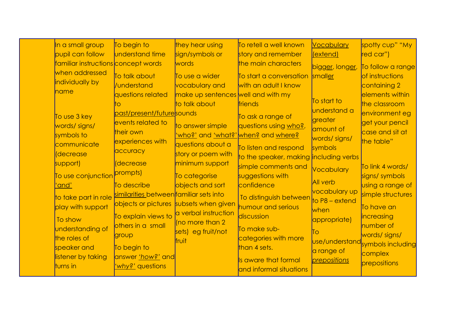| In a small group                    | To begin to                             | they hear using                        | To retell a well known                 | Vocabulary          | spotty cup" "My                  |
|-------------------------------------|-----------------------------------------|----------------------------------------|----------------------------------------|---------------------|----------------------------------|
| pupil can follow                    | understand time                         | sign/symbols or                        | story and remember                     | (extend)            | red car")                        |
| familiar instructions concept words |                                         | words                                  | the main characters                    | bigger, longer,     | To follow a range                |
| when addressed                      | To talk about                           | To use a wider                         | To start a conversation                | smaller             | of instructions                  |
| individually by                     | /understand                             | vocabulary and                         | with an adult I know                   |                     | containing 2                     |
| name                                | questions related                       | make up sentences well and with my     |                                        |                     | elements within                  |
|                                     | tΟ                                      | to talk about                          | friends                                | To start to         | the classroom                    |
| To use 3 key                        | past/present/futuresounds               |                                        | To ask a range of                      | <b>understand</b> a | environment eg                   |
| words/signs/                        | events related to                       | to answer simple                       | questions using who?,                  | greater             | get your pencil                  |
| symbols to                          | their own                               | <u>'who?'</u> and <u>'what?'</u>       | when? and where?                       | amount of           | case and sit at                  |
| communicate                         | experiences with                        | questions about a                      |                                        | words/signs/        | the table"                       |
| <i>decrease</i>                     | accuracy                                | story or poem with                     | To listen and respond                  | symbols             |                                  |
| support)                            | decrease                                | minimum support                        | to the speaker, making including verbs |                     |                                  |
|                                     | prompts)                                |                                        | simple comments and                    | Vocabulary          | To link 4 words/                 |
| To use conjunction                  |                                         | To categorise                          | suggestions with                       | All verb            | signs/ symbols                   |
| 'and'                               | To describe                             | objects and sort                       | confidence                             | vocabulary up       | using a range of                 |
| to take part in role                | similarities between familiar sets into |                                        | To distinguish between                 | to $P8 -$ extend    | simple structures                |
| play with support                   |                                         | objects or pictures subsets when given | humour and serious                     | when                | To have an                       |
| To show                             | To explain views to                     | a verbal instruction                   | discussion                             | appropriate)        | increasing                       |
| understanding of                    | others in a small                       | (no more than 2                        | To make sub-                           |                     | number of                        |
| the roles of                        | group                                   | sets) eg fruit/not                     | categories with more                   | ĪΟ                  | words/signs/                     |
| speaker and                         | To begin to                             | <b>fruit</b>                           | than 4 sets.                           |                     | use/understand symbols including |
| listener by taking                  | answer <u>'how?'</u> and                |                                        |                                        | a range of          | complex                          |
| turns in                            | 'why?' questions                        |                                        | Is aware that formal                   | prepositions        | prepositions                     |
|                                     |                                         |                                        | and informal situations                |                     |                                  |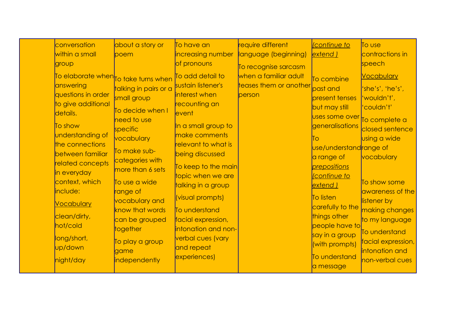| within a small<br>language (beginning)<br>extend)<br>increasing number<br>poem<br>of pronouns<br>speech<br>group<br>To recognise sarcasm<br>To add detail to<br>when a familiar adult<br>To elaborate when To take turns when<br>To combine<br>sustain listener's<br>teases them or another past and<br>answering<br>talking in pairs or a<br>questions in order<br>interest when<br>person<br>present tenses<br>small group<br>'wouldn't',<br>to give additional<br>recounting an<br>but may still<br>'couldn't'<br>To decide when I<br>details.<br>event<br>uses some over<br>need to use<br>To show<br>In a small group to<br><i>generalisations</i><br>specific<br>understanding of<br>make comments<br>vocabulary<br>To<br>the connections<br>relevant to what is<br>use/understandrange of<br>To make sub-<br>between familiar<br>being discussed<br>a range of<br>categories with<br>related concepts<br>To keep to the main <br>prepositions<br>more than 6 sets<br>in everyday<br>topic when we are<br><i>continue</i> to<br>context, which<br>To use a wide<br>talking in a group<br>extend)<br>include:<br>range of<br>(visual prompts)<br>To listen<br>vocabulary and<br>listener by<br><b>Vocabulary</b><br>carefully to the<br>know that words<br>To understand<br>things other<br>clean/dirty,<br>can be grouped<br>facial expression,<br>hot/cold<br>people have to<br>together<br>intonation and non-<br>To understand<br>say in a group<br>long/short,<br>verbal cues (vary<br>To play a group<br>(with prompts)<br>up/down<br>and repeat<br>game | conversation | about a story or | To have an   | require different | continue to   | To use                                                                                                                                                                          |
|---------------------------------------------------------------------------------------------------------------------------------------------------------------------------------------------------------------------------------------------------------------------------------------------------------------------------------------------------------------------------------------------------------------------------------------------------------------------------------------------------------------------------------------------------------------------------------------------------------------------------------------------------------------------------------------------------------------------------------------------------------------------------------------------------------------------------------------------------------------------------------------------------------------------------------------------------------------------------------------------------------------------------------------------------------------------------------------------------------------------------------------------------------------------------------------------------------------------------------------------------------------------------------------------------------------------------------------------------------------------------------------------------------------------------------------------------------------------------------------------------------------------------------------------------------------------|--------------|------------------|--------------|-------------------|---------------|---------------------------------------------------------------------------------------------------------------------------------------------------------------------------------|
|                                                                                                                                                                                                                                                                                                                                                                                                                                                                                                                                                                                                                                                                                                                                                                                                                                                                                                                                                                                                                                                                                                                                                                                                                                                                                                                                                                                                                                                                                                                                                                     |              |                  |              |                   |               | contractions in                                                                                                                                                                 |
|                                                                                                                                                                                                                                                                                                                                                                                                                                                                                                                                                                                                                                                                                                                                                                                                                                                                                                                                                                                                                                                                                                                                                                                                                                                                                                                                                                                                                                                                                                                                                                     |              |                  |              |                   |               |                                                                                                                                                                                 |
|                                                                                                                                                                                                                                                                                                                                                                                                                                                                                                                                                                                                                                                                                                                                                                                                                                                                                                                                                                                                                                                                                                                                                                                                                                                                                                                                                                                                                                                                                                                                                                     |              |                  |              |                   |               | <b>Vocabulary</b><br>'she's', 'he's',<br>To complete a<br>closed sentence<br>using a wide<br>vocabulary<br>To show some<br>awareness of the<br>making changes<br>to my language |
| independently<br>night/day<br>a message                                                                                                                                                                                                                                                                                                                                                                                                                                                                                                                                                                                                                                                                                                                                                                                                                                                                                                                                                                                                                                                                                                                                                                                                                                                                                                                                                                                                                                                                                                                             |              |                  | experiences) |                   | To understand | facial expression,<br>intonation and<br>non-verbal cues                                                                                                                         |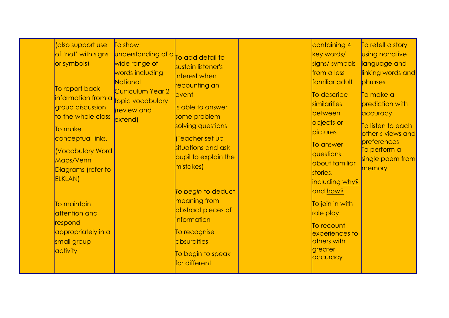| (also support use<br>of 'not' with signs<br>or symbols)<br>To report back<br>information from a topic vocabulary<br>group discussion<br>to the whole class<br>To make<br>conceptual links.<br>Vocabulary Word<br>Maps/Venn<br>Diagrams (refer to<br><b>ELKLAN</b> ) | To show<br>understanding of a <sub>To add detail to</sub><br>wide range of<br>words including<br>National<br>Curriculum Year 2<br>(review and<br>extend) | sustain listener's<br>interest when<br>recounting an<br>event<br>Is able to answer<br>some problem<br>solving questions<br>Teacher set up<br>situations and ask<br>pupil to explain the<br>mistakes) | containing 4<br>key words/<br>signs/symbols<br>from a less<br>familiar adult<br>To describe<br>similarities<br>between<br>objects or<br><b>pictures</b><br>To answer<br><b><i><u>questions</u></i></b><br>about familiar<br>stories,<br>including why? | To retell a story<br><b>Using narrative</b><br>language and<br>linking words and<br>phrases<br>To make a<br>prediction with<br>accuracy<br>To listen to each<br>other's views and<br>preferences<br>To perform a<br>single poem from<br>memory |
|---------------------------------------------------------------------------------------------------------------------------------------------------------------------------------------------------------------------------------------------------------------------|----------------------------------------------------------------------------------------------------------------------------------------------------------|------------------------------------------------------------------------------------------------------------------------------------------------------------------------------------------------------|--------------------------------------------------------------------------------------------------------------------------------------------------------------------------------------------------------------------------------------------------------|------------------------------------------------------------------------------------------------------------------------------------------------------------------------------------------------------------------------------------------------|
| To maintain<br>attention and<br>respond<br>appropriately in a<br>small group<br>activity                                                                                                                                                                            |                                                                                                                                                          | To begin to deduct<br>meaning from<br>abstract pieces of<br><i>information</i><br>To recognise<br>absurdities<br>To begin to speak<br>for different                                                  | <mark>and how?</mark><br>To join in with<br>role play<br>To recount<br>experiences to<br>others with<br>greater<br>accuracy                                                                                                                            |                                                                                                                                                                                                                                                |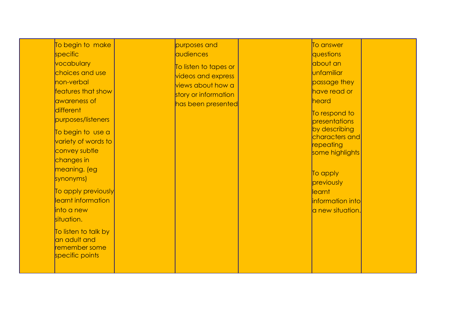| To begin to make<br>specific<br>vocabulary<br>choices and use<br>non-verbal<br>features that show<br>awareness of<br>different<br>purposes/listeners<br>To begin to use a<br>variety of words to<br>convey subtle<br>changes in<br>meaning. (eg<br>synonyms)<br>To apply previously<br>learnt information<br>into a new<br>situation.<br>To listen to talk by<br>an adult and<br>remember some<br>specific points | purposes and<br>audiences<br>To listen to tapes or<br>videos and express<br>views about how a<br>story or information<br>has been presented |  | To answer<br>questions<br>about an<br>unfamiliar<br>passage they<br>have read or<br>heard<br>To respond to<br>presentations<br>by describing<br>characters and<br>repeating<br>some highlights<br>To apply<br>previously<br>learnt<br>information into<br>a new situation. |
|-------------------------------------------------------------------------------------------------------------------------------------------------------------------------------------------------------------------------------------------------------------------------------------------------------------------------------------------------------------------------------------------------------------------|---------------------------------------------------------------------------------------------------------------------------------------------|--|----------------------------------------------------------------------------------------------------------------------------------------------------------------------------------------------------------------------------------------------------------------------------|
|-------------------------------------------------------------------------------------------------------------------------------------------------------------------------------------------------------------------------------------------------------------------------------------------------------------------------------------------------------------------------------------------------------------------|---------------------------------------------------------------------------------------------------------------------------------------------|--|----------------------------------------------------------------------------------------------------------------------------------------------------------------------------------------------------------------------------------------------------------------------------|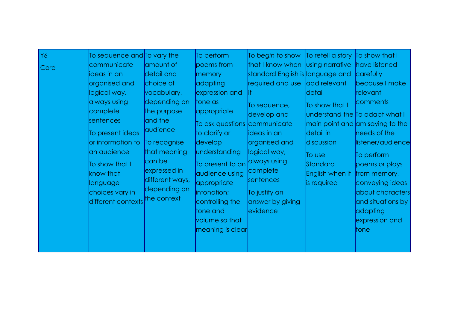| Y6<br>Core | To sequence and <b>To</b> vary the<br>communicate<br>ideas in an<br>organised and<br>logical way,<br>always using<br>complete<br>sentences<br>To present ideas<br>or information to<br>an audience<br>To show that I<br>know that<br>language<br>choices vary in<br>different contexts | amount of<br>detail and<br>choice of<br>vocabulary,<br>depending on<br>the purpose<br>and the<br>audience<br>To recognise<br>that meaning<br>can be<br>expressed in<br>different ways,<br>depending on<br>the context | To perform<br>poems from<br>memory<br>adapting<br>expression and<br>tone as<br> appropriate<br>To ask questions communicate<br>to clarify or<br>develop<br>understanding<br>To present to an<br>audience using<br>appropriate<br>intonation;<br>controlling the<br>tone and<br>volume so that<br>meaning is clear | To begin to show $\overline{a}$<br>that I know when<br>standard English is language and<br>required and use<br>To sequence,<br>develop and<br>ideas in an<br>organised and<br>logical way,<br>always using<br>complete<br>sentences<br>To justify an<br>answer by giving<br>evidence | To retell a story To show that I<br>Using narrative<br>add relevant<br> detail <br>To show that I<br>detail in<br>discussion<br>To use<br>Standard<br>English when it<br>is required | have listened<br>carefully<br>because I make<br>relevant<br>comments<br>understand the To adapt what I<br>$ $ main point and $ $ am saying to the<br>needs of the<br>listener/audience<br>To perform<br>poems or plays<br>from memory,<br>conveying ideas<br>about characters<br>and situations by<br>adapting<br>expression and<br>ltone |
|------------|----------------------------------------------------------------------------------------------------------------------------------------------------------------------------------------------------------------------------------------------------------------------------------------|-----------------------------------------------------------------------------------------------------------------------------------------------------------------------------------------------------------------------|-------------------------------------------------------------------------------------------------------------------------------------------------------------------------------------------------------------------------------------------------------------------------------------------------------------------|--------------------------------------------------------------------------------------------------------------------------------------------------------------------------------------------------------------------------------------------------------------------------------------|--------------------------------------------------------------------------------------------------------------------------------------------------------------------------------------|-------------------------------------------------------------------------------------------------------------------------------------------------------------------------------------------------------------------------------------------------------------------------------------------------------------------------------------------|
|------------|----------------------------------------------------------------------------------------------------------------------------------------------------------------------------------------------------------------------------------------------------------------------------------------|-----------------------------------------------------------------------------------------------------------------------------------------------------------------------------------------------------------------------|-------------------------------------------------------------------------------------------------------------------------------------------------------------------------------------------------------------------------------------------------------------------------------------------------------------------|--------------------------------------------------------------------------------------------------------------------------------------------------------------------------------------------------------------------------------------------------------------------------------------|--------------------------------------------------------------------------------------------------------------------------------------------------------------------------------------|-------------------------------------------------------------------------------------------------------------------------------------------------------------------------------------------------------------------------------------------------------------------------------------------------------------------------------------------|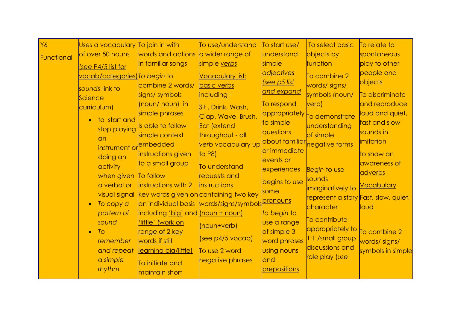| <b>Y6</b>  | Uses a vocabulary To join in with    |                                                     | To use/understand                                             | To start use/               | To select basic                      | To relate to                      |
|------------|--------------------------------------|-----------------------------------------------------|---------------------------------------------------------------|-----------------------------|--------------------------------------|-----------------------------------|
| Functional | of over 50 nouns                     | words and actions                                   | a wider range of                                              | understand                  | objects by                           | spontaneous                       |
|            | (see P4/5 list for                   | in familiar songs                                   | simple verbs                                                  | simple                      | function                             | play to other                     |
|            | <u>vocab/categories)</u> To begin to |                                                     | <b>Vocabulary list:</b>                                       | <u>adjectives</u>           | To combine 2                         | people and                        |
|            | sounds-link to                       | combine 2 words/                                    | <b>basic verbs</b>                                            | <u>see p5 list</u>          | words/signs/                         | objects                           |
|            | Science                              | signs/ symbols                                      | including -                                                   | <u>and expand</u>           | symbols (noun/                       | To discriminate                   |
|            | curriculum)                          | (noun/ noun) in                                     | Sit, Drink, Wash,                                             | To respond                  | verb)                                | and reproduce                     |
|            | to start and<br>$\bullet$            | simple phrases                                      | Clap, Wave, Brush,                                            | appropriately               | To demonstrate                       | loud and quiet,                   |
|            | stop playing                         | Is able to follow                                   | Eat (extend                                                   | to simple                   | understanding                        | fast and slow                     |
|            | an                                   | simple context                                      | throughout - all                                              | questions<br>about familiar | of simple                            | sounds in<br><i>imitation</i>     |
|            | instrument or embedded               |                                                     | verb vocabulary up                                            | or immediate                | negative forms                       |                                   |
|            | doing an                             | instructions given                                  | to $P8$ )                                                     | events or                   |                                      | to show an                        |
|            | activity                             | to a small group                                    | To understand                                                 | experiences                 | Begin to use                         | awareness of                      |
|            | when given To follow                 |                                                     | requests and                                                  |                             | sounds                               | adverbs                           |
|            | a verbal or                          | <b>instructions with 2</b>                          | <i><b>instructions</b></i>                                    | begins to use<br>some       | imaginatively to                     | <u>Vocabulary</u>                 |
|            |                                      | visual signal key words given on containing two key |                                                               |                             | represent a story Fast, slow, quiet, |                                   |
|            | To copy a<br>$\bullet$               |                                                     | an individual basis words/signs/symbols <mark>pronouns</mark> |                             | character                            | loud                              |
|            | pattern of                           | including 'big' and <u>(noun + noun)</u>            |                                                               | to begin to                 | To contribute                        |                                   |
|            | sound                                | 'little' (work on                                   | (noun+verb)                                                   | use a range                 | appropriately to                     |                                   |
|            | To<br>$\bullet$<br>remember          | <u>range of 2 key</u><br>words if still             | (see p4/5 vocab)                                              | of simple 3<br>word phrases | 1:1 /small group                     | To combine 2                      |
|            | and repeat                           | learning big/little)                                | To use 2 word                                                 | using nouns                 | discussions and                      | words/signs/<br>symbols in simple |
|            | a simple                             |                                                     | negative phrases                                              | and                         | role play (use                       |                                   |
|            | rhythm                               | To initiate and                                     |                                                               | prepositions                |                                      |                                   |
|            |                                      | maintain short                                      |                                                               |                             |                                      |                                   |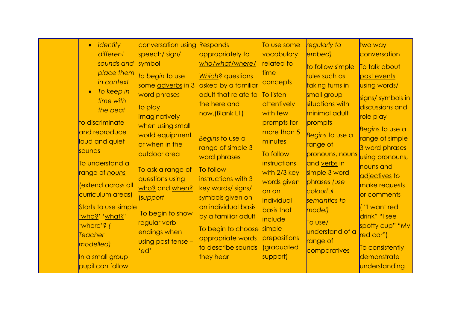|  | identify<br>$\bullet$<br>different<br>sounds and<br>place them<br>in context<br>To keep in<br>time with<br>the beat<br>to discriminate<br>and reproduce<br>loud and quiet<br>sounds<br>To understand a<br>range of <u>nouns</u><br>(extend across all<br>curriculum areas)<br>Starts to use simple<br><u>'who?' 'what?'</u><br>'where'? (<br>Teacher<br>modelled)<br>In a small group<br>pupil can follow | conversation using<br>speech/sign/<br>symbol<br>to begin to use<br>some adverbs in 3<br>word phrases<br>to play<br><b>imaginatively</b><br>when using small<br>world equipment<br>or when in the<br>outdoor area<br>To ask a range of<br>questions using<br>who? and when?<br>(support<br>To begin to show<br>regular verb<br>endings when<br>using past tense -<br>'ed' | <b>Responds</b><br>appropriately to<br>who/what/where/<br>Which? questions<br>asked by a familiar<br>adult that relate to<br>the here and<br>now.(Blank L1)<br>Begins to use a<br>range of simple 3<br>word phrases<br>To follow<br>instructions with 3<br>key words/ signs/<br>symbols given on<br>an individual basis<br>by a familiar adult<br>To begin to choose<br>appropriate words<br>to describe sounds<br>they hear | To use some<br>vocabulary<br><b>related</b> to<br><b>ltime</b><br>concepts<br><b>To listen</b><br>dttentively<br>with few<br>prompts for<br>more than 5<br>minutes<br>To follow<br>instructions<br>with 2/3 key<br>words given<br>lon an<br>individual<br>basis that<br>include<br>simple<br>prepositions<br><i><u><b>(graduated</b>)</u></i><br>support) | regularly to<br>embed)<br>to follow simple<br>rules such as<br>taking turns in<br>small group<br>situations with<br>minimal adult<br>prompts<br>Begins to use a<br>range of<br>pronouns, nouns<br>and verbs in<br>simple 3 word<br>phrases (use<br>colourful<br>semantics to<br>model)<br>$\overline{I}$ o use/<br>understand of a<br>range of<br>comparatives | two way<br>conversation<br>To talk about<br>past events<br>using words/<br>signs/ symbols in<br>discussions and<br>role play<br>Begins to use a<br>range of simple<br>3 word phrases<br>using pronouns,<br>nouns and<br>adjectives to<br>make requests<br>or comments<br>("I want red<br>drink" "I see<br>spotty cup" "My<br>red car")<br>To consistently<br>demonstrate<br>understanding |
|--|-----------------------------------------------------------------------------------------------------------------------------------------------------------------------------------------------------------------------------------------------------------------------------------------------------------------------------------------------------------------------------------------------------------|--------------------------------------------------------------------------------------------------------------------------------------------------------------------------------------------------------------------------------------------------------------------------------------------------------------------------------------------------------------------------|------------------------------------------------------------------------------------------------------------------------------------------------------------------------------------------------------------------------------------------------------------------------------------------------------------------------------------------------------------------------------------------------------------------------------|-----------------------------------------------------------------------------------------------------------------------------------------------------------------------------------------------------------------------------------------------------------------------------------------------------------------------------------------------------------|----------------------------------------------------------------------------------------------------------------------------------------------------------------------------------------------------------------------------------------------------------------------------------------------------------------------------------------------------------------|-------------------------------------------------------------------------------------------------------------------------------------------------------------------------------------------------------------------------------------------------------------------------------------------------------------------------------------------------------------------------------------------|
|--|-----------------------------------------------------------------------------------------------------------------------------------------------------------------------------------------------------------------------------------------------------------------------------------------------------------------------------------------------------------------------------------------------------------|--------------------------------------------------------------------------------------------------------------------------------------------------------------------------------------------------------------------------------------------------------------------------------------------------------------------------------------------------------------------------|------------------------------------------------------------------------------------------------------------------------------------------------------------------------------------------------------------------------------------------------------------------------------------------------------------------------------------------------------------------------------------------------------------------------------|-----------------------------------------------------------------------------------------------------------------------------------------------------------------------------------------------------------------------------------------------------------------------------------------------------------------------------------------------------------|----------------------------------------------------------------------------------------------------------------------------------------------------------------------------------------------------------------------------------------------------------------------------------------------------------------------------------------------------------------|-------------------------------------------------------------------------------------------------------------------------------------------------------------------------------------------------------------------------------------------------------------------------------------------------------------------------------------------------------------------------------------------|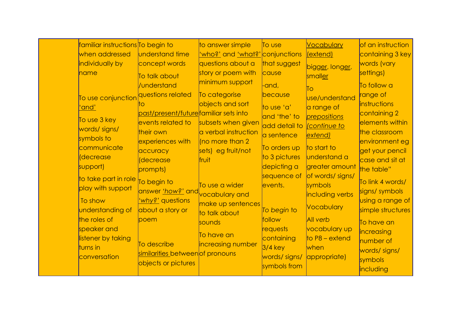| familiar instructions To begin to                 |                                       | to answer simple                              | To use        | <b>Vocabulary</b>                | of an instruction             |
|---------------------------------------------------|---------------------------------------|-----------------------------------------------|---------------|----------------------------------|-------------------------------|
| when addressed                                    | <b>understand</b> time                | <u>'who?'</u> and <u>'what?'</u> conjunctions |               | (extend)                         | containing 3 key              |
| individually by                                   | concept words                         | questions about a                             | that suggest  | bigger, longer,                  | words (vary                   |
| name                                              | To talk about                         | story or poem with                            | cause         | smaller                          | settings)                     |
|                                                   | /understand                           | minimum support                               | -and,         | ĪО                               | To follow a                   |
| To use conjunction <mark>questions related</mark> |                                       | To categorise                                 | because       | use/understand                   | range of                      |
| 'and'                                             |                                       | objects and sort                              | to use 'a'    | a range of                       | <i><b>instructions</b></i>    |
| To use 3 key                                      | past/present/futurefamiliar sets into |                                               | and 'the' to  | prepositions                     | containing 2                  |
| words/ signs/                                     | events related to                     | subsets when given                            | add detail to | <i><u><b>Continue to</b></u></i> | elements within               |
| symbols to                                        | their own                             | a verbal instruction                          | a sentence    | extend)                          | the classroom                 |
| communicate                                       | experiences with                      | $\sqrt{2}$ more than 2                        | To orders up  | to start to                      | environment eg                |
| decrease                                          | accuracy                              | sets) eg fruit/not                            | to 3 pictures | <b>understand a</b>              | get your pencil               |
| support)                                          | decrease<br>prompts)                  | fruit                                         | depicting a   | greater amount                   | case and sit at<br>the table" |
|                                                   |                                       |                                               | sequence of   | of words/ signs/                 |                               |
| to take part in role<br>play with support         | To begin to                           | To use a wider                                | events.       | symbols                          | To link 4 words/              |
|                                                   | answer 'how?' and vocabulary and      |                                               |               | including verbs                  | signs/ symbols                |
| To show                                           | why?' questions                       | make up sentences                             |               | Vocabulary                       | using a range of              |
| understanding of                                  | about a story or                      | to talk about                                 | To begin to   |                                  | simple structures             |
| the roles of                                      | poem                                  | sounds                                        | follow        | <b>All verb</b>                  | To have an                    |
| speaker and                                       |                                       | To have an                                    | requests      | vocabulary up                    | <i>increasing</i>             |
| listener by taking                                | To describe                           | increasing number                             | containing    | $\textsf{to}$ P8 – extend        | number of                     |
| turns in                                          | similarities between of pronouns      |                                               | $3/4$ key     | when                             | words/signs/                  |
| conversation                                      | objects or pictures                   |                                               | words/signs/  | appropriate)                     | symbols                       |
|                                                   |                                       |                                               | symbols from  |                                  | including                     |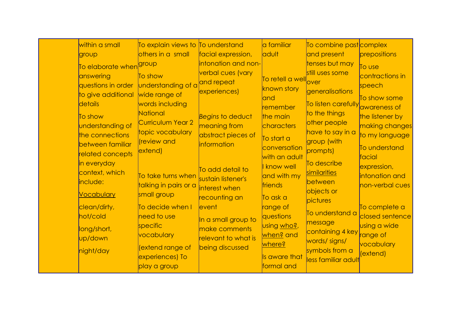| others in a small<br>facial expression,<br><b>adult</b><br>and present<br>group<br>tenses but may<br>intonation and non-<br>To elaborate when <sup>group</sup><br>still uses some<br>verbal cues (vary<br>answering<br>To show<br>To retell a well <sub>over</sub><br>and repeat<br>understanding of a<br>questions in order<br>known story<br>experiences)<br>generalisations<br>wide range of<br>to give additional<br>and                                                                                                                                                                                                                                                                                                                                                                                                                                                                                                                                                                                                                                                                                                                                                                                                                                                       | To combine past complex                                                                                                                                                                                                                                                                                                                  |
|------------------------------------------------------------------------------------------------------------------------------------------------------------------------------------------------------------------------------------------------------------------------------------------------------------------------------------------------------------------------------------------------------------------------------------------------------------------------------------------------------------------------------------------------------------------------------------------------------------------------------------------------------------------------------------------------------------------------------------------------------------------------------------------------------------------------------------------------------------------------------------------------------------------------------------------------------------------------------------------------------------------------------------------------------------------------------------------------------------------------------------------------------------------------------------------------------------------------------------------------------------------------------------|------------------------------------------------------------------------------------------------------------------------------------------------------------------------------------------------------------------------------------------------------------------------------------------------------------------------------------------|
|                                                                                                                                                                                                                                                                                                                                                                                                                                                                                                                                                                                                                                                                                                                                                                                                                                                                                                                                                                                                                                                                                                                                                                                                                                                                                    | prepositions                                                                                                                                                                                                                                                                                                                             |
| details<br>words including<br>remember<br>National<br>to the things<br>Begins to deduct<br>To show<br>the main<br>Curriculum Year 2<br>other people<br>understanding of<br>meaning from<br><b>characters</b><br>have to say in a<br>topic vocabulary<br>abstract pieces of<br>the connections<br>To start a<br>group (with<br>review and<br>between familiar<br><i>information</i><br>conversation<br>extend)<br>prompts)<br>related concepts<br>with an adult<br>in everyday<br>To describe<br>know well<br>To add detail to<br>context, which<br>similarities<br>To take turns when sustain listener's<br>and with my<br>include:<br>between<br>talking in pairs or a<br>friends<br>interest when<br>objects or<br><b>Vocabulary</b><br>small group<br>recounting an<br>To ask a<br>pictures<br>clean/dirty,<br>To decide when I<br>event<br>range of<br>To understand a<br>hot/cold<br>need to use<br>questions<br>In a small group to<br>message<br>specific<br>using who?,<br>make comments<br>long/short,<br>vocabulary<br><u>when?</u> and<br>relevant to what is<br>up/down<br>words/signs/<br><u>where?</u><br>extend range of<br>being discussed<br>symbols from a<br>night/day<br>experiences) To<br>Is aware that<br>less familiar adult<br>formal and<br>play a group | To use<br>contractions in<br>speech<br>To show some<br>To listen carefully awareness of<br>the listener by<br>making changes<br>to my language<br>To understand<br>facial<br>expression,<br>intonation and<br>non-verbal cues<br>To complete a<br>closed sentence<br>using a wide<br>containing 4 key range of<br>vocabulary<br>(extend) |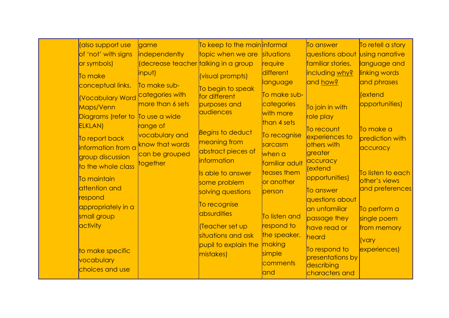| (also support use      | game                                              | To keep to the main informal |                | To answer                    | To retell a story      |
|------------------------|---------------------------------------------------|------------------------------|----------------|------------------------------|------------------------|
|                        |                                                   |                              | situations     |                              |                        |
| of 'not' with signs    | independently                                     | topic when we are            |                | questions about              | <b>Using narrative</b> |
| or symbols)            | (decrease teacher <mark>talking in a group</mark> |                              | require        | familiar stories,            | language and           |
| To make                | input)                                            | (visual prompts)             | different      | including why?               | linking words          |
| conceptual links.      | To make sub-                                      | To begin to speak            | language       | and how?                     | and phrases            |
| <b>Vocabulary Word</b> | categories with                                   | for different                | To make sub-   |                              | (extend                |
|                        | more than 6 sets                                  | purposes and                 | categories     |                              | opportunities)         |
| Maps/Venn              |                                                   | audiences                    | with more      | To join in with              |                        |
| Diagrams (refer to     | To use a wide                                     |                              | than 4 sets    | role play                    |                        |
| <b>ELKLAN</b> )        | range of                                          | Begins to deduct             |                | To recount                   | To make a              |
| To report back         | vocabulary and                                    |                              | To recognise   | experiences to               | prediction with        |
| information from a     | know that words                                   | meaning from                 | sarcasm        | others with                  | accuracy               |
| group discussion       | can be grouped                                    | abstract pieces of           | when a         | greater                      |                        |
| to the whole class     | together                                          | <i>information</i>           | familiar adult | accuracy                     |                        |
|                        |                                                   | Is able to answer            | teases them    | (extend                      | To listen to each      |
| To maintain            |                                                   | some problem                 | or another     | opportunities)               | other's views          |
| attention and          |                                                   | solving questions            | person         | To answer                    | and preferences        |
| respond                |                                                   |                              |                | questions about              |                        |
| appropriately in a     |                                                   | To recognise                 |                | an unfamiliar                | To perform a           |
| small group            |                                                   | absurdities                  | To listen and  | passage they                 | single poem            |
| activity               |                                                   | Teacher set up               | respond to     | have read or                 | from memory            |
|                        |                                                   | situations and ask           | the speaker,   | heard                        |                        |
|                        |                                                   | pupil to explain the         | making         |                              | <i>vary</i>            |
| to make specific       |                                                   | mistakes)                    | simple         | To respond to                | experiences)           |
| vocabulary             |                                                   |                              | comments       | presentations by             |                        |
| choices and use        |                                                   |                              | and            | describing<br>characters and |                        |
|                        |                                                   |                              |                |                              |                        |